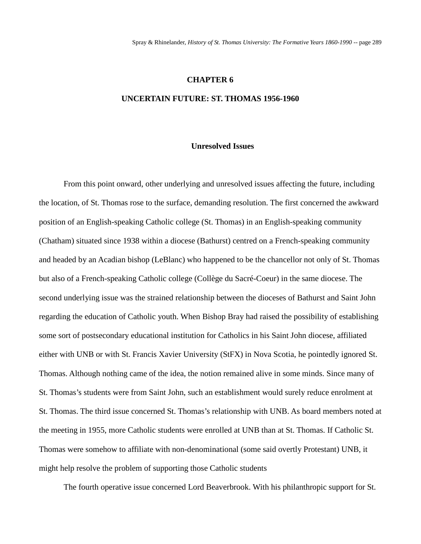#### **CHAPTER 6**

## **UNCERTAIN FUTURE: ST. THOMAS 1956-1960**

#### **Unresolved Issues**

From this point onward, other underlying and unresolved issues affecting the future, including the location, of St. Thomas rose to the surface, demanding resolution. The first concerned the awkward position of an English-speaking Catholic college (St. Thomas) in an English-speaking community (Chatham) situated since 1938 within a diocese (Bathurst) centred on a French-speaking community and headed by an Acadian bishop (LeBlanc) who happened to be the chancellor not only of St. Thomas but also of a French-speaking Catholic college (Collège du Sacré-Coeur) in the same diocese. The second underlying issue was the strained relationship between the dioceses of Bathurst and Saint John regarding the education of Catholic youth. When Bishop Bray had raised the possibility of establishing some sort of postsecondary educational institution for Catholics in his Saint John diocese, affiliated either with UNB or with St. Francis Xavier University (StFX) in Nova Scotia, he pointedly ignored St. Thomas. Although nothing came of the idea, the notion remained alive in some minds. Since many of St. Thomas's students were from Saint John, such an establishment would surely reduce enrolment at St. Thomas. The third issue concerned St. Thomas's relationship with UNB. As board members noted at the meeting in 1955, more Catholic students were enrolled at UNB than at St. Thomas. If Catholic St. Thomas were somehow to affiliate with non-denominational (some said overtly Protestant) UNB, it might help resolve the problem of supporting those Catholic students

The fourth operative issue concerned Lord Beaverbrook. With his philanthropic support for St.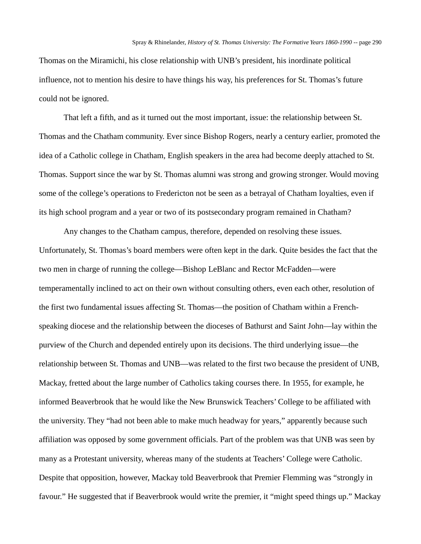Thomas on the Miramichi, his close relationship with UNB's president, his inordinate political influence, not to mention his desire to have things his way, his preferences for St. Thomas's future could not be ignored.

That left a fifth, and as it turned out the most important, issue: the relationship between St. Thomas and the Chatham community. Ever since Bishop Rogers, nearly a century earlier, promoted the idea of a Catholic college in Chatham, English speakers in the area had become deeply attached to St. Thomas. Support since the war by St. Thomas alumni was strong and growing stronger. Would moving some of the college's operations to Fredericton not be seen as a betrayal of Chatham loyalties, even if its high school program and a year or two of its postsecondary program remained in Chatham?

Any changes to the Chatham campus, therefore, depended on resolving these issues. Unfortunately, St. Thomas's board members were often kept in the dark. Quite besides the fact that the two men in charge of running the college—Bishop LeBlanc and Rector McFadden—were temperamentally inclined to act on their own without consulting others, even each other, resolution of the first two fundamental issues affecting St. Thomas—the position of Chatham within a Frenchspeaking diocese and the relationship between the dioceses of Bathurst and Saint John—lay within the purview of the Church and depended entirely upon its decisions. The third underlying issue—the relationship between St. Thomas and UNB—was related to the first two because the president of UNB, Mackay, fretted about the large number of Catholics taking courses there. In 1955, for example, he informed Beaverbrook that he would like the New Brunswick Teachers' College to be affiliated with the university. They "had not been able to make much headway for years," apparently because such affiliation was opposed by some government officials. Part of the problem was that UNB was seen by many as a Protestant university, whereas many of the students at Teachers' College were Catholic. Despite that opposition, however, Mackay told Beaverbrook that Premier Flemming was "strongly in favour." He suggested that if Beaverbrook would write the premier, it "might speed things up." Mackay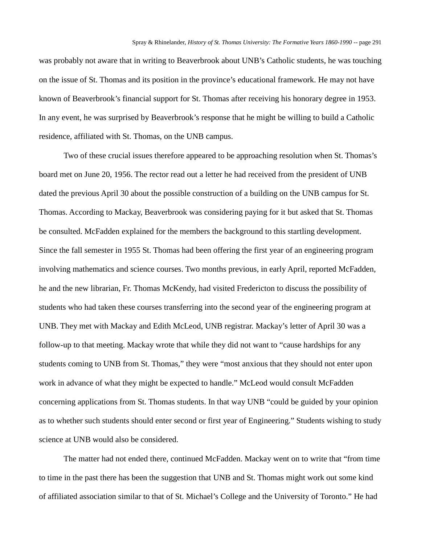was probably not aware that in writing to Beaverbrook about UNB's Catholic students, he was touching on the issue of St. Thomas and its position in the province's educational framework. He may not have known of Beaverbrook's financial support for St. Thomas after receiving his honorary degree in 1953. In any event, he was surprised by Beaverbrook's response that he might be willing to build a Catholic residence, affiliated with St. Thomas, on the UNB campus.

Two of these crucial issues therefore appeared to be approaching resolution when St. Thomas's board met on June 20, 1956. The rector read out a letter he had received from the president of UNB dated the previous April 30 about the possible construction of a building on the UNB campus for St. Thomas. According to Mackay, Beaverbrook was considering paying for it but asked that St. Thomas be consulted. McFadden explained for the members the background to this startling development. Since the fall semester in 1955 St. Thomas had been offering the first year of an engineering program involving mathematics and science courses. Two months previous, in early April, reported McFadden, he and the new librarian, Fr. Thomas McKendy, had visited Fredericton to discuss the possibility of students who had taken these courses transferring into the second year of the engineering program at UNB. They met with Mackay and Edith McLeod, UNB registrar. Mackay's letter of April 30 was a follow-up to that meeting. Mackay wrote that while they did not want to "cause hardships for any students coming to UNB from St. Thomas," they were "most anxious that they should not enter upon work in advance of what they might be expected to handle." McLeod would consult McFadden concerning applications from St. Thomas students. In that way UNB "could be guided by your opinion as to whether such students should enter second or first year of Engineering." Students wishing to study science at UNB would also be considered.

The matter had not ended there, continued McFadden. Mackay went on to write that "from time to time in the past there has been the suggestion that UNB and St. Thomas might work out some kind of affiliated association similar to that of St. Michael's College and the University of Toronto." He had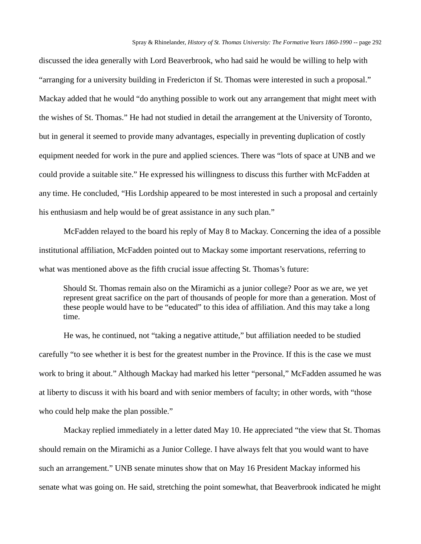discussed the idea generally with Lord Beaverbrook, who had said he would be willing to help with "arranging for a university building in Fredericton if St. Thomas were interested in such a proposal." Mackay added that he would "do anything possible to work out any arrangement that might meet with the wishes of St. Thomas." He had not studied in detail the arrangement at the University of Toronto, but in general it seemed to provide many advantages, especially in preventing duplication of costly equipment needed for work in the pure and applied sciences. There was "lots of space at UNB and we could provide a suitable site." He expressed his willingness to discuss this further with McFadden at any time. He concluded, "His Lordship appeared to be most interested in such a proposal and certainly his enthusiasm and help would be of great assistance in any such plan."

McFadden relayed to the board his reply of May 8 to Mackay. Concerning the idea of a possible institutional affiliation, McFadden pointed out to Mackay some important reservations, referring to what was mentioned above as the fifth crucial issue affecting St. Thomas's future:

Should St. Thomas remain also on the Miramichi as a junior college? Poor as we are, we yet represent great sacrifice on the part of thousands of people for more than a generation. Most of these people would have to be "educated" to this idea of affiliation. And this may take a long time.

He was, he continued, not "taking a negative attitude," but affiliation needed to be studied carefully "to see whether it is best for the greatest number in the Province. If this is the case we must work to bring it about." Although Mackay had marked his letter "personal," McFadden assumed he was at liberty to discuss it with his board and with senior members of faculty; in other words, with "those who could help make the plan possible."

Mackay replied immediately in a letter dated May 10. He appreciated "the view that St. Thomas should remain on the Miramichi as a Junior College. I have always felt that you would want to have such an arrangement." UNB senate minutes show that on May 16 President Mackay informed his senate what was going on. He said, stretching the point somewhat, that Beaverbrook indicated he might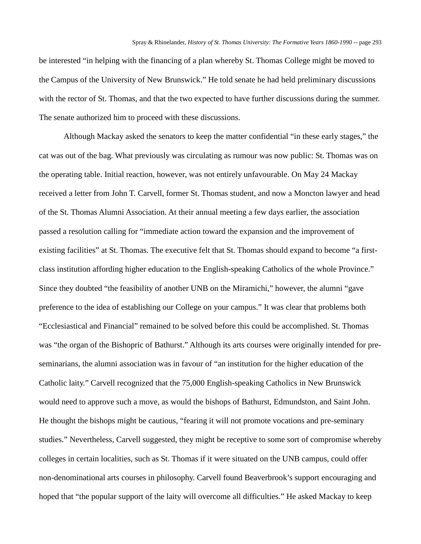be interested "in helping with the financing of a plan whereby St. Thomas College might be moved to the Campus of the University of New Brunswick." He told senate he had held preliminary discussions with the rector of St. Thomas, and that the two expected to have further discussions during the summer. The senate authorized him to proceed with these discussions.

Although Mackay asked the senators to keep the matter confidential "in these early stages," the cat was out of the bag. What previously was circulating as rumour was now public: St. Thomas was on the operating table. Initial reaction, however, was not entirely unfavourable. On May 24 Mackay received a letter from John T. Carvell, former St. Thomas student, and now a Moncton lawyer and head of the St. Thomas Alumni Association. At their annual meeting a few days earlier, the association passed a resolution calling for "immediate action toward the expansion and the improvement of existing facilities" at St. Thomas. The executive felt that St. Thomas should expand to become "a firstclass institution affording higher education to the English-speaking Catholics of the whole Province." Since they doubted "the feasibility of another UNB on the Miramichi," however, the alumni "gave preference to the idea of establishing our College on your campus." It was clear that problems both "Ecclesiastical and Financial" remained to be solved before this could be accomplished. St. Thomas was "the organ of the Bishopric of Bathurst." Although its arts courses were originally intended for preseminarians, the alumni association was in favour of "an institution for the higher education of the Catholic laity." Carvell recognized that the 75,000 English-speaking Catholics in New Brunswick would need to approve such a move, as would the bishops of Bathurst, Edmundston, and Saint John. He thought the bishops might be cautious, "fearing it will not promote vocations and pre-seminary studies." Nevertheless, Carvell suggested, they might be receptive to some sort of compromise whereby colleges in certain localities, such as St. Thomas if it were situated on the UNB campus, could offer non-denominational arts courses in philosophy. Carvell found Beaverbrook's support encouraging and hoped that "the popular support of the laity will overcome all difficulties." He asked Mackay to keep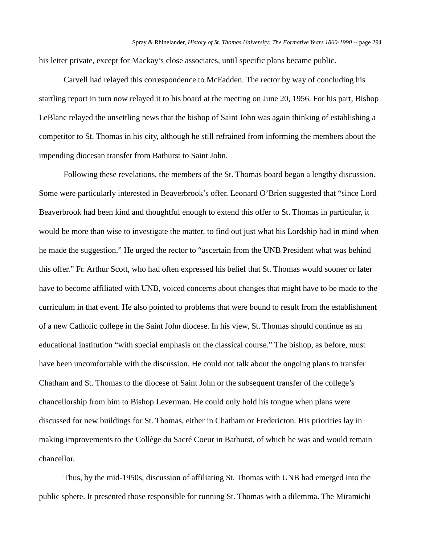his letter private, except for Mackay's close associates, until specific plans became public.

Carvell had relayed this correspondence to McFadden. The rector by way of concluding his startling report in turn now relayed it to his board at the meeting on June 20, 1956. For his part, Bishop LeBlanc relayed the unsettling news that the bishop of Saint John was again thinking of establishing a competitor to St. Thomas in his city, although he still refrained from informing the members about the impending diocesan transfer from Bathurst to Saint John.

Following these revelations, the members of the St. Thomas board began a lengthy discussion. Some were particularly interested in Beaverbrook's offer. Leonard O'Brien suggested that "since Lord Beaverbrook had been kind and thoughtful enough to extend this offer to St. Thomas in particular, it would be more than wise to investigate the matter, to find out just what his Lordship had in mind when he made the suggestion." He urged the rector to "ascertain from the UNB President what was behind this offer." Fr. Arthur Scott, who had often expressed his belief that St. Thomas would sooner or later have to become affiliated with UNB, voiced concerns about changes that might have to be made to the curriculum in that event. He also pointed to problems that were bound to result from the establishment of a new Catholic college in the Saint John diocese. In his view, St. Thomas should continue as an educational institution "with special emphasis on the classical course." The bishop, as before, must have been uncomfortable with the discussion. He could not talk about the ongoing plans to transfer Chatham and St. Thomas to the diocese of Saint John or the subsequent transfer of the college's chancellorship from him to Bishop Leverman. He could only hold his tongue when plans were discussed for new buildings for St. Thomas, either in Chatham or Fredericton. His priorities lay in making improvements to the Collège du Sacré Coeur in Bathurst, of which he was and would remain chancellor.

Thus, by the mid-1950s, discussion of affiliating St. Thomas with UNB had emerged into the public sphere. It presented those responsible for running St. Thomas with a dilemma. The Miramichi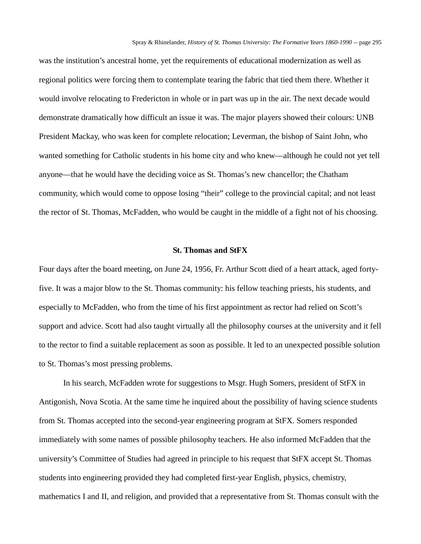was the institution's ancestral home, yet the requirements of educational modernization as well as regional politics were forcing them to contemplate tearing the fabric that tied them there. Whether it would involve relocating to Fredericton in whole or in part was up in the air. The next decade would demonstrate dramatically how difficult an issue it was. The major players showed their colours: UNB President Mackay, who was keen for complete relocation; Leverman, the bishop of Saint John, who wanted something for Catholic students in his home city and who knew—although he could not yet tell anyone—that he would have the deciding voice as St. Thomas's new chancellor; the Chatham community, which would come to oppose losing "their" college to the provincial capital; and not least the rector of St. Thomas, McFadden, who would be caught in the middle of a fight not of his choosing.

### **St. Thomas and StFX**

Four days after the board meeting, on June 24, 1956, Fr. Arthur Scott died of a heart attack, aged fortyfive. It was a major blow to the St. Thomas community: his fellow teaching priests, his students, and especially to McFadden, who from the time of his first appointment as rector had relied on Scott's support and advice. Scott had also taught virtually all the philosophy courses at the university and it fell to the rector to find a suitable replacement as soon as possible. It led to an unexpected possible solution to St. Thomas's most pressing problems.

In his search, McFadden wrote for suggestions to Msgr. Hugh Somers, president of StFX in Antigonish, Nova Scotia. At the same time he inquired about the possibility of having science students from St. Thomas accepted into the second-year engineering program at StFX. Somers responded immediately with some names of possible philosophy teachers. He also informed McFadden that the university's Committee of Studies had agreed in principle to his request that StFX accept St. Thomas students into engineering provided they had completed first-year English, physics, chemistry, mathematics I and II, and religion, and provided that a representative from St. Thomas consult with the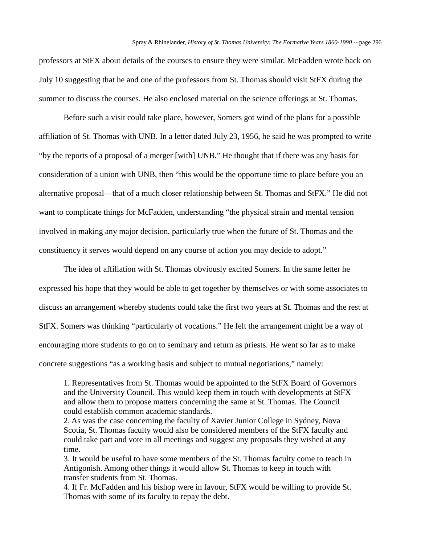professors at StFX about details of the courses to ensure they were similar. McFadden wrote back on July 10 suggesting that he and one of the professors from St. Thomas should visit StFX during the summer to discuss the courses. He also enclosed material on the science offerings at St. Thomas.

Before such a visit could take place, however, Somers got wind of the plans for a possible affiliation of St. Thomas with UNB. In a letter dated July 23, 1956, he said he was prompted to write "by the reports of a proposal of a merger [with] UNB." He thought that if there was any basis for consideration of a union with UNB, then "this would be the opportune time to place before you an alternative proposal—that of a much closer relationship between St. Thomas and StFX." He did not want to complicate things for McFadden, understanding "the physical strain and mental tension involved in making any major decision, particularly true when the future of St. Thomas and the constituency it serves would depend on any course of action you may decide to adopt."

The idea of affiliation with St. Thomas obviously excited Somers. In the same letter he expressed his hope that they would be able to get together by themselves or with some associates to discuss an arrangement whereby students could take the first two years at St. Thomas and the rest at StFX. Somers was thinking "particularly of vocations." He felt the arrangement might be a way of encouraging more students to go on to seminary and return as priests. He went so far as to make concrete suggestions "as a working basis and subject to mutual negotiations," namely:

1. Representatives from St. Thomas would be appointed to the StFX Board of Governors and the University Council. This would keep them in touch with developments at StFX and allow them to propose matters concerning the same at St. Thomas. The Council could establish common academic standards.

2. As was the case concerning the faculty of Xavier Junior College in Sydney, Nova Scotia, St. Thomas faculty would also be considered members of the StFX faculty and could take part and vote in all meetings and suggest any proposals they wished at any time.

3. It would be useful to have some members of the St. Thomas faculty come to teach in Antigonish. Among other things it would allow St. Thomas to keep in touch with transfer students from St. Thomas.

4. If Fr. McFadden and his bishop were in favour, StFX would be willing to provide St. Thomas with some of its faculty to repay the debt.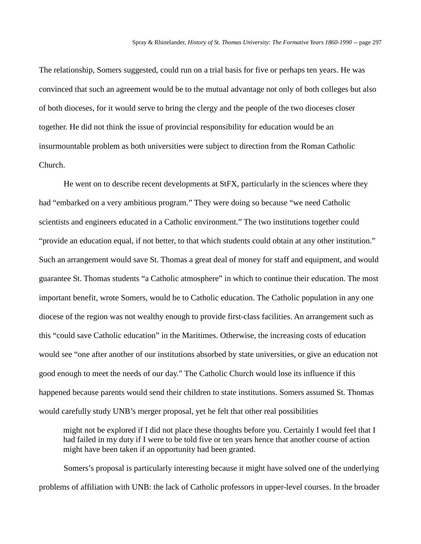The relationship, Somers suggested, could run on a trial basis for five or perhaps ten years. He was convinced that such an agreement would be to the mutual advantage not only of both colleges but also of both dioceses, for it would serve to bring the clergy and the people of the two dioceses closer together. He did not think the issue of provincial responsibility for education would be an insurmountable problem as both universities were subject to direction from the Roman Catholic Church.

He went on to describe recent developments at StFX, particularly in the sciences where they had "embarked on a very ambitious program." They were doing so because "we need Catholic scientists and engineers educated in a Catholic environment." The two institutions together could "provide an education equal, if not better, to that which students could obtain at any other institution." Such an arrangement would save St. Thomas a great deal of money for staff and equipment, and would guarantee St. Thomas students "a Catholic atmosphere" in which to continue their education. The most important benefit, wrote Somers, would be to Catholic education. The Catholic population in any one diocese of the region was not wealthy enough to provide first-class facilities. An arrangement such as this "could save Catholic education" in the Maritimes. Otherwise, the increasing costs of education would see "one after another of our institutions absorbed by state universities, or give an education not good enough to meet the needs of our day." The Catholic Church would lose its influence if this happened because parents would send their children to state institutions. Somers assumed St. Thomas would carefully study UNB's merger proposal, yet he felt that other real possibilities

might not be explored if I did not place these thoughts before you. Certainly I would feel that I had failed in my duty if I were to be told five or ten years hence that another course of action might have been taken if an opportunity had been granted.

Somers's proposal is particularly interesting because it might have solved one of the underlying problems of affiliation with UNB: the lack of Catholic professors in upper-level courses. In the broader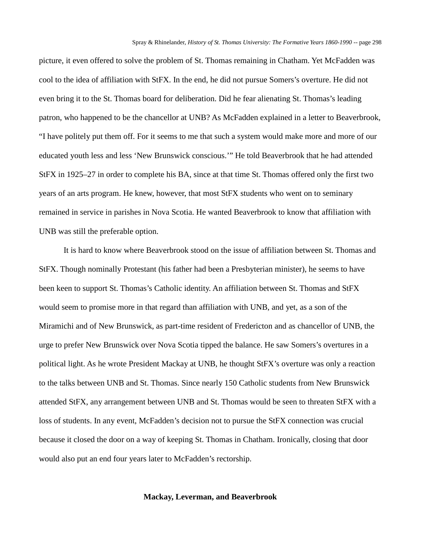picture, it even offered to solve the problem of St. Thomas remaining in Chatham. Yet McFadden was cool to the idea of affiliation with StFX. In the end, he did not pursue Somers's overture. He did not even bring it to the St. Thomas board for deliberation. Did he fear alienating St. Thomas's leading patron, who happened to be the chancellor at UNB? As McFadden explained in a letter to Beaverbrook, "I have politely put them off. For it seems to me that such a system would make more and more of our educated youth less and less 'New Brunswick conscious.'" He told Beaverbrook that he had attended StFX in 1925–27 in order to complete his BA, since at that time St. Thomas offered only the first two years of an arts program. He knew, however, that most StFX students who went on to seminary remained in service in parishes in Nova Scotia. He wanted Beaverbrook to know that affiliation with UNB was still the preferable option.

It is hard to know where Beaverbrook stood on the issue of affiliation between St. Thomas and StFX. Though nominally Protestant (his father had been a Presbyterian minister), he seems to have been keen to support St. Thomas's Catholic identity. An affiliation between St. Thomas and StFX would seem to promise more in that regard than affiliation with UNB, and yet, as a son of the Miramichi and of New Brunswick, as part-time resident of Fredericton and as chancellor of UNB, the urge to prefer New Brunswick over Nova Scotia tipped the balance. He saw Somers's overtures in a political light. As he wrote President Mackay at UNB, he thought StFX's overture was only a reaction to the talks between UNB and St. Thomas. Since nearly 150 Catholic students from New Brunswick attended StFX, any arrangement between UNB and St. Thomas would be seen to threaten StFX with a loss of students. In any event, McFadden's decision not to pursue the StFX connection was crucial because it closed the door on a way of keeping St. Thomas in Chatham. Ironically, closing that door would also put an end four years later to McFadden's rectorship.

## **Mackay, Leverman, and Beaverbrook**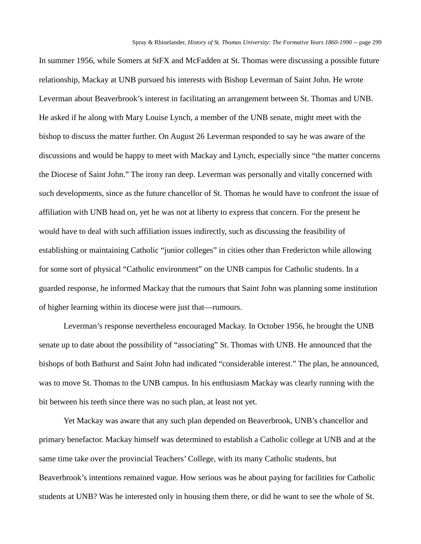In summer 1956, while Somers at StFX and McFadden at St. Thomas were discussing a possible future relationship, Mackay at UNB pursued his interests with Bishop Leverman of Saint John. He wrote Leverman about Beaverbrook's interest in facilitating an arrangement between St. Thomas and UNB. He asked if he along with Mary Louise Lynch, a member of the UNB senate, might meet with the bishop to discuss the matter further. On August 26 Leverman responded to say he was aware of the discussions and would be happy to meet with Mackay and Lynch, especially since "the matter concerns the Diocese of Saint John." The irony ran deep. Leverman was personally and vitally concerned with such developments, since as the future chancellor of St. Thomas he would have to confront the issue of affiliation with UNB head on, yet he was not at liberty to express that concern. For the present he would have to deal with such affiliation issues indirectly, such as discussing the feasibility of establishing or maintaining Catholic "junior colleges" in cities other than Fredericton while allowing for some sort of physical "Catholic environment" on the UNB campus for Catholic students. In a guarded response, he informed Mackay that the rumours that Saint John was planning some institution of higher learning within its diocese were just that—rumours.

Leverman's response nevertheless encouraged Mackay. In October 1956, he brought the UNB senate up to date about the possibility of "associating" St. Thomas with UNB. He announced that the bishops of both Bathurst and Saint John had indicated "considerable interest." The plan, he announced, was to move St. Thomas to the UNB campus. In his enthusiasm Mackay was clearly running with the bit between his teeth since there was no such plan, at least not yet.

Yet Mackay was aware that any such plan depended on Beaverbrook, UNB's chancellor and primary benefactor. Mackay himself was determined to establish a Catholic college at UNB and at the same time take over the provincial Teachers' College, with its many Catholic students, but Beaverbrook's intentions remained vague. How serious was he about paying for facilities for Catholic students at UNB? Was he interested only in housing them there, or did he want to see the whole of St.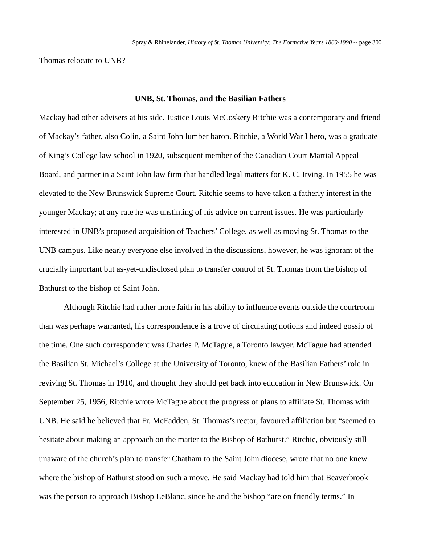Thomas relocate to UNB?

#### **UNB, St. Thomas, and the Basilian Fathers**

Mackay had other advisers at his side. Justice Louis McCoskery Ritchie was a contemporary and friend of Mackay's father, also Colin, a Saint John lumber baron. Ritchie, a World War I hero, was a graduate of King's College law school in 1920, subsequent member of the Canadian Court Martial Appeal Board, and partner in a Saint John law firm that handled legal matters for K. C. Irving. In 1955 he was elevated to the New Brunswick Supreme Court. Ritchie seems to have taken a fatherly interest in the younger Mackay; at any rate he was unstinting of his advice on current issues. He was particularly interested in UNB's proposed acquisition of Teachers' College, as well as moving St. Thomas to the UNB campus. Like nearly everyone else involved in the discussions, however, he was ignorant of the crucially important but as-yet-undisclosed plan to transfer control of St. Thomas from the bishop of Bathurst to the bishop of Saint John.

Although Ritchie had rather more faith in his ability to influence events outside the courtroom than was perhaps warranted, his correspondence is a trove of circulating notions and indeed gossip of the time. One such correspondent was Charles P. McTague, a Toronto lawyer. McTague had attended the Basilian St. Michael's College at the University of Toronto, knew of the Basilian Fathers' role in reviving St. Thomas in 1910, and thought they should get back into education in New Brunswick. On September 25, 1956, Ritchie wrote McTague about the progress of plans to affiliate St. Thomas with UNB. He said he believed that Fr. McFadden, St. Thomas's rector, favoured affiliation but "seemed to hesitate about making an approach on the matter to the Bishop of Bathurst." Ritchie, obviously still unaware of the church's plan to transfer Chatham to the Saint John diocese, wrote that no one knew where the bishop of Bathurst stood on such a move. He said Mackay had told him that Beaverbrook was the person to approach Bishop LeBlanc, since he and the bishop "are on friendly terms." In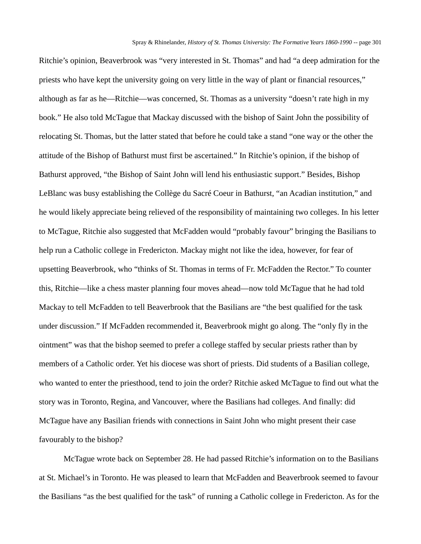Ritchie's opinion, Beaverbrook was "very interested in St. Thomas" and had "a deep admiration for the priests who have kept the university going on very little in the way of plant or financial resources," although as far as he—Ritchie—was concerned, St. Thomas as a university "doesn't rate high in my book." He also told McTague that Mackay discussed with the bishop of Saint John the possibility of relocating St. Thomas, but the latter stated that before he could take a stand "one way or the other the attitude of the Bishop of Bathurst must first be ascertained." In Ritchie's opinion, if the bishop of Bathurst approved, "the Bishop of Saint John will lend his enthusiastic support." Besides, Bishop LeBlanc was busy establishing the Collège du Sacré Coeur in Bathurst, "an Acadian institution," and he would likely appreciate being relieved of the responsibility of maintaining two colleges. In his letter to McTague, Ritchie also suggested that McFadden would "probably favour" bringing the Basilians to help run a Catholic college in Fredericton. Mackay might not like the idea, however, for fear of upsetting Beaverbrook, who "thinks of St. Thomas in terms of Fr. McFadden the Rector." To counter this, Ritchie—like a chess master planning four moves ahead—now told McTague that he had told Mackay to tell McFadden to tell Beaverbrook that the Basilians are "the best qualified for the task under discussion." If McFadden recommended it, Beaverbrook might go along. The "only fly in the ointment" was that the bishop seemed to prefer a college staffed by secular priests rather than by members of a Catholic order. Yet his diocese was short of priests. Did students of a Basilian college, who wanted to enter the priesthood, tend to join the order? Ritchie asked McTague to find out what the story was in Toronto, Regina, and Vancouver, where the Basilians had colleges. And finally: did McTague have any Basilian friends with connections in Saint John who might present their case favourably to the bishop?

McTague wrote back on September 28. He had passed Ritchie's information on to the Basilians at St. Michael's in Toronto. He was pleased to learn that McFadden and Beaverbrook seemed to favour the Basilians "as the best qualified for the task" of running a Catholic college in Fredericton. As for the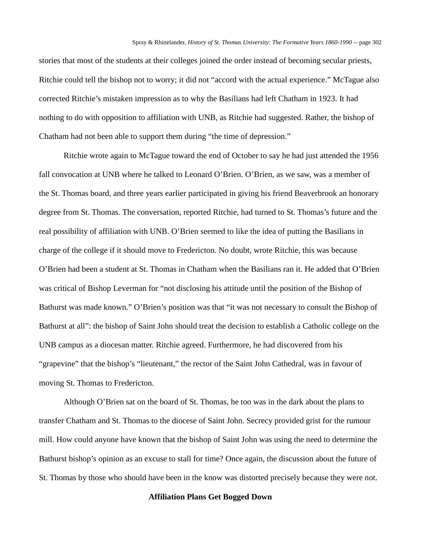stories that most of the students at their colleges joined the order instead of becoming secular priests, Ritchie could tell the bishop not to worry; it did not "accord with the actual experience." McTague also corrected Ritchie's mistaken impression as to why the Basilians had left Chatham in 1923. It had nothing to do with opposition to affiliation with UNB, as Ritchie had suggested. Rather, the bishop of Chatham had not been able to support them during "the time of depression."

Ritchie wrote again to McTague toward the end of October to say he had just attended the 1956 fall convocation at UNB where he talked to Leonard O'Brien. O'Brien, as we saw, was a member of the St. Thomas board, and three years earlier participated in giving his friend Beaverbrook an honorary degree from St. Thomas. The conversation, reported Ritchie, had turned to St. Thomas's future and the real possibility of affiliation with UNB. O'Brien seemed to like the idea of putting the Basilians in charge of the college if it should move to Fredericton. No doubt, wrote Ritchie, this was because O'Brien had been a student at St. Thomas in Chatham when the Basilians ran it. He added that O'Brien was critical of Bishop Leverman for "not disclosing his attitude until the position of the Bishop of Bathurst was made known." O'Brien's position was that "it was not necessary to consult the Bishop of Bathurst at all": the bishop of Saint John should treat the decision to establish a Catholic college on the UNB campus as a diocesan matter. Ritchie agreed. Furthermore, he had discovered from his "grapevine" that the bishop's "lieutenant," the rector of the Saint John Cathedral, was in favour of moving St. Thomas to Fredericton.

Although O'Brien sat on the board of St. Thomas, he too was in the dark about the plans to transfer Chatham and St. Thomas to the diocese of Saint John. Secrecy provided grist for the rumour mill. How could anyone have known that the bishop of Saint John was using the need to determine the Bathurst bishop's opinion as an excuse to stall for time? Once again, the discussion about the future of St. Thomas by those who should have been in the know was distorted precisely because they were not.

## **Affiliation Plans Get Bogged Down**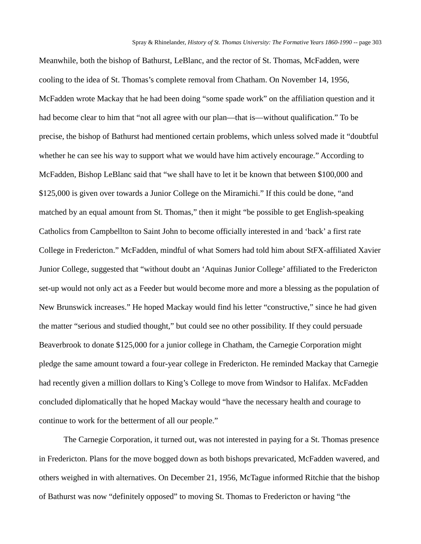Meanwhile, both the bishop of Bathurst, LeBlanc, and the rector of St. Thomas, McFadden, were cooling to the idea of St. Thomas's complete removal from Chatham. On November 14, 1956, McFadden wrote Mackay that he had been doing "some spade work" on the affiliation question and it had become clear to him that "not all agree with our plan—that is—without qualification." To be precise, the bishop of Bathurst had mentioned certain problems, which unless solved made it "doubtful whether he can see his way to support what we would have him actively encourage." According to McFadden, Bishop LeBlanc said that "we shall have to let it be known that between \$100,000 and \$125,000 is given over towards a Junior College on the Miramichi." If this could be done, "and matched by an equal amount from St. Thomas," then it might "be possible to get English-speaking Catholics from Campbellton to Saint John to become officially interested in and 'back' a first rate College in Fredericton." McFadden, mindful of what Somers had told him about StFX-affiliated Xavier Junior College, suggested that "without doubt an 'Aquinas Junior College' affiliated to the Fredericton set-up would not only act as a Feeder but would become more and more a blessing as the population of New Brunswick increases." He hoped Mackay would find his letter "constructive," since he had given the matter "serious and studied thought," but could see no other possibility. If they could persuade Beaverbrook to donate \$125,000 for a junior college in Chatham, the Carnegie Corporation might pledge the same amount toward a four-year college in Fredericton. He reminded Mackay that Carnegie had recently given a million dollars to King's College to move from Windsor to Halifax. McFadden concluded diplomatically that he hoped Mackay would "have the necessary health and courage to continue to work for the betterment of all our people."

The Carnegie Corporation, it turned out, was not interested in paying for a St. Thomas presence in Fredericton. Plans for the move bogged down as both bishops prevaricated, McFadden wavered, and others weighed in with alternatives. On December 21, 1956, McTague informed Ritchie that the bishop of Bathurst was now "definitely opposed" to moving St. Thomas to Fredericton or having "the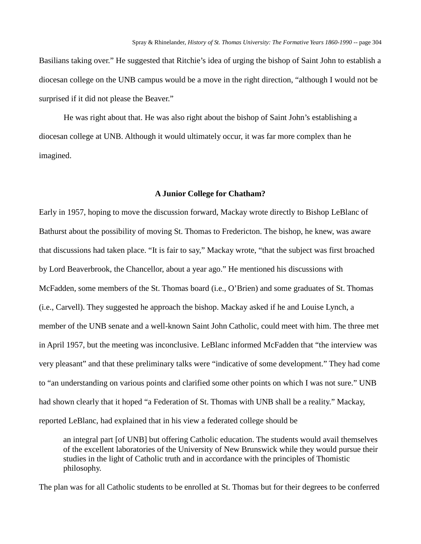Basilians taking over." He suggested that Ritchie's idea of urging the bishop of Saint John to establish a diocesan college on the UNB campus would be a move in the right direction, "although I would not be surprised if it did not please the Beaver."

He was right about that. He was also right about the bishop of Saint John's establishing a diocesan college at UNB. Although it would ultimately occur, it was far more complex than he imagined.

## **A Junior College for Chatham?**

Early in 1957, hoping to move the discussion forward, Mackay wrote directly to Bishop LeBlanc of Bathurst about the possibility of moving St. Thomas to Fredericton. The bishop, he knew, was aware that discussions had taken place. "It is fair to say," Mackay wrote, "that the subject was first broached by Lord Beaverbrook, the Chancellor, about a year ago." He mentioned his discussions with McFadden, some members of the St. Thomas board (i.e., O'Brien) and some graduates of St. Thomas (i.e., Carvell). They suggested he approach the bishop. Mackay asked if he and Louise Lynch, a member of the UNB senate and a well-known Saint John Catholic, could meet with him. The three met in April 1957, but the meeting was inconclusive. LeBlanc informed McFadden that "the interview was very pleasant" and that these preliminary talks were "indicative of some development." They had come to "an understanding on various points and clarified some other points on which I was not sure." UNB had shown clearly that it hoped "a Federation of St. Thomas with UNB shall be a reality." Mackay, reported LeBlanc, had explained that in his view a federated college should be

an integral part [of UNB] but offering Catholic education. The students would avail themselves of the excellent laboratories of the University of New Brunswick while they would pursue their studies in the light of Catholic truth and in accordance with the principles of Thomistic philosophy.

The plan was for all Catholic students to be enrolled at St. Thomas but for their degrees to be conferred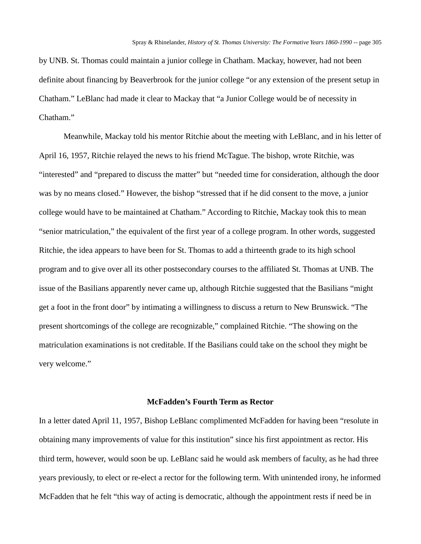by UNB. St. Thomas could maintain a junior college in Chatham. Mackay, however, had not been definite about financing by Beaverbrook for the junior college "or any extension of the present setup in Chatham." LeBlanc had made it clear to Mackay that "a Junior College would be of necessity in Chatham."

Meanwhile, Mackay told his mentor Ritchie about the meeting with LeBlanc, and in his letter of April 16, 1957, Ritchie relayed the news to his friend McTague. The bishop, wrote Ritchie, was "interested" and "prepared to discuss the matter" but "needed time for consideration, although the door was by no means closed." However, the bishop "stressed that if he did consent to the move, a junior college would have to be maintained at Chatham." According to Ritchie, Mackay took this to mean "senior matriculation," the equivalent of the first year of a college program. In other words, suggested Ritchie, the idea appears to have been for St. Thomas to add a thirteenth grade to its high school program and to give over all its other postsecondary courses to the affiliated St. Thomas at UNB. The issue of the Basilians apparently never came up, although Ritchie suggested that the Basilians "might get a foot in the front door" by intimating a willingness to discuss a return to New Brunswick. "The present shortcomings of the college are recognizable," complained Ritchie. "The showing on the matriculation examinations is not creditable. If the Basilians could take on the school they might be very welcome."

# **McFadden's Fourth Term as Rector**

In a letter dated April 11, 1957, Bishop LeBlanc complimented McFadden for having been "resolute in obtaining many improvements of value for this institution" since his first appointment as rector. His third term, however, would soon be up. LeBlanc said he would ask members of faculty, as he had three years previously, to elect or re-elect a rector for the following term. With unintended irony, he informed McFadden that he felt "this way of acting is democratic, although the appointment rests if need be in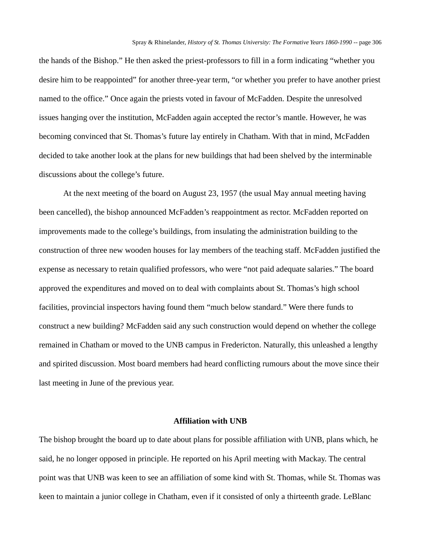the hands of the Bishop." He then asked the priest-professors to fill in a form indicating "whether you desire him to be reappointed" for another three-year term, "or whether you prefer to have another priest named to the office." Once again the priests voted in favour of McFadden. Despite the unresolved issues hanging over the institution, McFadden again accepted the rector's mantle. However, he was becoming convinced that St. Thomas's future lay entirely in Chatham. With that in mind, McFadden decided to take another look at the plans for new buildings that had been shelved by the interminable discussions about the college's future.

At the next meeting of the board on August 23, 1957 (the usual May annual meeting having been cancelled), the bishop announced McFadden's reappointment as rector. McFadden reported on improvements made to the college's buildings, from insulating the administration building to the construction of three new wooden houses for lay members of the teaching staff. McFadden justified the expense as necessary to retain qualified professors, who were "not paid adequate salaries." The board approved the expenditures and moved on to deal with complaints about St. Thomas's high school facilities, provincial inspectors having found them "much below standard." Were there funds to construct a new building? McFadden said any such construction would depend on whether the college remained in Chatham or moved to the UNB campus in Fredericton. Naturally, this unleashed a lengthy and spirited discussion. Most board members had heard conflicting rumours about the move since their last meeting in June of the previous year.

#### **Affiliation with UNB**

The bishop brought the board up to date about plans for possible affiliation with UNB, plans which, he said, he no longer opposed in principle. He reported on his April meeting with Mackay. The central point was that UNB was keen to see an affiliation of some kind with St. Thomas, while St. Thomas was keen to maintain a junior college in Chatham, even if it consisted of only a thirteenth grade. LeBlanc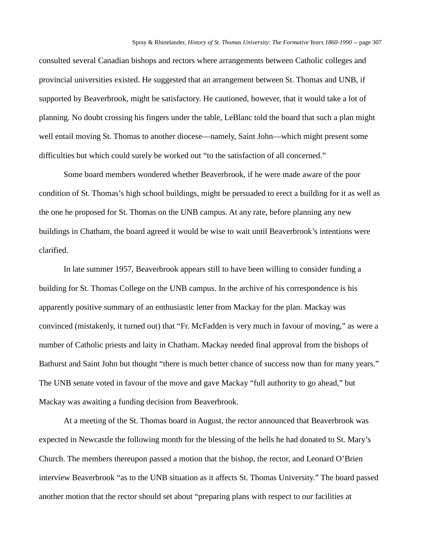consulted several Canadian bishops and rectors where arrangements between Catholic colleges and provincial universities existed. He suggested that an arrangement between St. Thomas and UNB, if supported by Beaverbrook, might be satisfactory. He cautioned, however, that it would take a lot of planning. No doubt crossing his fingers under the table, LeBlanc told the board that such a plan might well entail moving St. Thomas to another diocese—namely, Saint John—which might present some difficulties but which could surely be worked out "to the satisfaction of all concerned."

Some board members wondered whether Beaverbrook, if he were made aware of the poor condition of St. Thomas's high school buildings, might be persuaded to erect a building for it as well as the one he proposed for St. Thomas on the UNB campus. At any rate, before planning any new buildings in Chatham, the board agreed it would be wise to wait until Beaverbrook's intentions were clarified.

In late summer 1957, Beaverbrook appears still to have been willing to consider funding a building for St. Thomas College on the UNB campus. In the archive of his correspondence is his apparently positive summary of an enthusiastic letter from Mackay for the plan. Mackay was convinced (mistakenly, it turned out) that "Fr. McFadden is very much in favour of moving," as were a number of Catholic priests and laity in Chatham. Mackay needed final approval from the bishops of Bathurst and Saint John but thought "there is much better chance of success now than for many years." The UNB senate voted in favour of the move and gave Mackay "full authority to go ahead," but Mackay was awaiting a funding decision from Beaverbrook.

At a meeting of the St. Thomas board in August, the rector announced that Beaverbrook was expected in Newcastle the following month for the blessing of the bells he had donated to St. Mary's Church. The members thereupon passed a motion that the bishop, the rector, and Leonard O'Brien interview Beaverbrook "as to the UNB situation as it affects St. Thomas University." The board passed another motion that the rector should set about "preparing plans with respect to our facilities at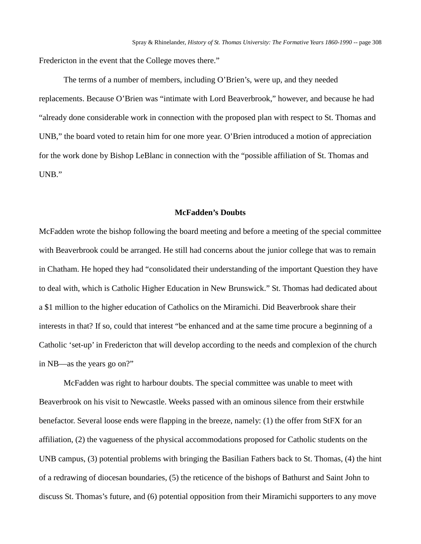Fredericton in the event that the College moves there."

The terms of a number of members, including O'Brien's, were up, and they needed replacements. Because O'Brien was "intimate with Lord Beaverbrook," however, and because he had "already done considerable work in connection with the proposed plan with respect to St. Thomas and UNB," the board voted to retain him for one more year. O'Brien introduced a motion of appreciation for the work done by Bishop LeBlanc in connection with the "possible affiliation of St. Thomas and UNB."

#### **McFadden's Doubts**

McFadden wrote the bishop following the board meeting and before a meeting of the special committee with Beaverbrook could be arranged. He still had concerns about the junior college that was to remain in Chatham. He hoped they had "consolidated their understanding of the important Question they have to deal with, which is Catholic Higher Education in New Brunswick." St. Thomas had dedicated about a \$1 million to the higher education of Catholics on the Miramichi. Did Beaverbrook share their interests in that? If so, could that interest "be enhanced and at the same time procure a beginning of a Catholic 'set-up' in Fredericton that will develop according to the needs and complexion of the church in NB—as the years go on?"

McFadden was right to harbour doubts. The special committee was unable to meet with Beaverbrook on his visit to Newcastle. Weeks passed with an ominous silence from their erstwhile benefactor. Several loose ends were flapping in the breeze, namely: (1) the offer from StFX for an affiliation, (2) the vagueness of the physical accommodations proposed for Catholic students on the UNB campus, (3) potential problems with bringing the Basilian Fathers back to St. Thomas, (4) the hint of a redrawing of diocesan boundaries, (5) the reticence of the bishops of Bathurst and Saint John to discuss St. Thomas's future, and (6) potential opposition from their Miramichi supporters to any move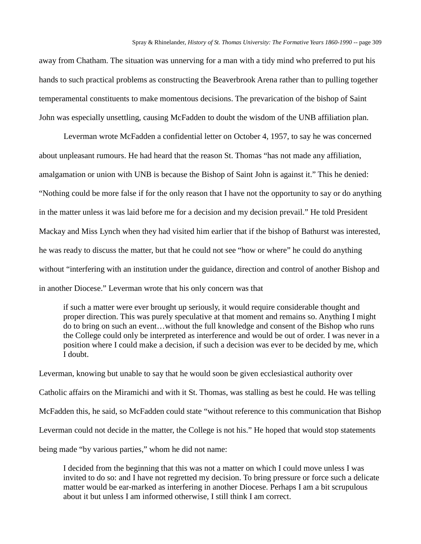away from Chatham. The situation was unnerving for a man with a tidy mind who preferred to put his hands to such practical problems as constructing the Beaverbrook Arena rather than to pulling together temperamental constituents to make momentous decisions. The prevarication of the bishop of Saint John was especially unsettling, causing McFadden to doubt the wisdom of the UNB affiliation plan.

Leverman wrote McFadden a confidential letter on October 4, 1957, to say he was concerned about unpleasant rumours. He had heard that the reason St. Thomas "has not made any affiliation, amalgamation or union with UNB is because the Bishop of Saint John is against it." This he denied: "Nothing could be more false if for the only reason that I have not the opportunity to say or do anything in the matter unless it was laid before me for a decision and my decision prevail." He told President Mackay and Miss Lynch when they had visited him earlier that if the bishop of Bathurst was interested, he was ready to discuss the matter, but that he could not see "how or where" he could do anything without "interfering with an institution under the guidance, direction and control of another Bishop and in another Diocese." Leverman wrote that his only concern was that

if such a matter were ever brought up seriously, it would require considerable thought and proper direction. This was purely speculative at that moment and remains so. Anything I might do to bring on such an event…without the full knowledge and consent of the Bishop who runs the College could only be interpreted as interference and would be out of order. I was never in a position where I could make a decision, if such a decision was ever to be decided by me, which I doubt.

Leverman, knowing but unable to say that he would soon be given ecclesiastical authority over Catholic affairs on the Miramichi and with it St. Thomas, was stalling as best he could. He was telling McFadden this, he said, so McFadden could state "without reference to this communication that Bishop Leverman could not decide in the matter, the College is not his." He hoped that would stop statements being made "by various parties," whom he did not name:

I decided from the beginning that this was not a matter on which I could move unless I was invited to do so: and I have not regretted my decision. To bring pressure or force such a delicate matter would be ear-marked as interfering in another Diocese. Perhaps I am a bit scrupulous about it but unless I am informed otherwise, I still think I am correct.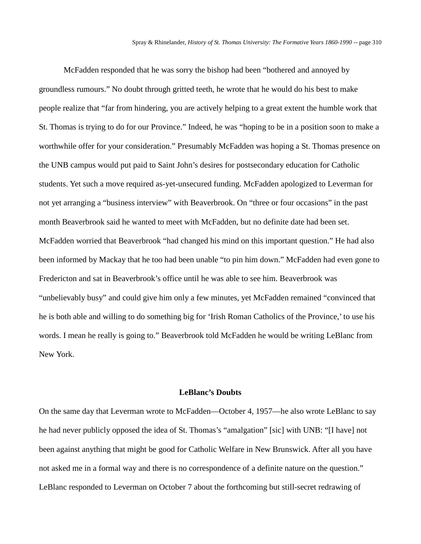McFadden responded that he was sorry the bishop had been "bothered and annoyed by groundless rumours." No doubt through gritted teeth, he wrote that he would do his best to make people realize that "far from hindering, you are actively helping to a great extent the humble work that St. Thomas is trying to do for our Province." Indeed, he was "hoping to be in a position soon to make a worthwhile offer for your consideration." Presumably McFadden was hoping a St. Thomas presence on the UNB campus would put paid to Saint John's desires for postsecondary education for Catholic students. Yet such a move required as-yet-unsecured funding. McFadden apologized to Leverman for not yet arranging a "business interview" with Beaverbrook. On "three or four occasions" in the past month Beaverbrook said he wanted to meet with McFadden, but no definite date had been set. McFadden worried that Beaverbrook "had changed his mind on this important question." He had also been informed by Mackay that he too had been unable "to pin him down." McFadden had even gone to Fredericton and sat in Beaverbrook's office until he was able to see him. Beaverbrook was "unbelievably busy" and could give him only a few minutes, yet McFadden remained "convinced that he is both able and willing to do something big for 'Irish Roman Catholics of the Province,' to use his words. I mean he really is going to." Beaverbrook told McFadden he would be writing LeBlanc from New York.

#### **LeBlanc's Doubts**

On the same day that Leverman wrote to McFadden—October 4, 1957—he also wrote LeBlanc to say he had never publicly opposed the idea of St. Thomas's "amalgation" [sic] with UNB: "[I have] not been against anything that might be good for Catholic Welfare in New Brunswick. After all you have not asked me in a formal way and there is no correspondence of a definite nature on the question." LeBlanc responded to Leverman on October 7 about the forthcoming but still-secret redrawing of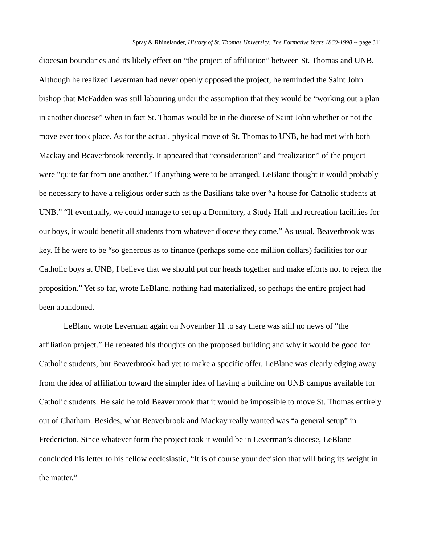diocesan boundaries and its likely effect on "the project of affiliation" between St. Thomas and UNB. Although he realized Leverman had never openly opposed the project, he reminded the Saint John bishop that McFadden was still labouring under the assumption that they would be "working out a plan in another diocese" when in fact St. Thomas would be in the diocese of Saint John whether or not the move ever took place. As for the actual, physical move of St. Thomas to UNB, he had met with both Mackay and Beaverbrook recently. It appeared that "consideration" and "realization" of the project were "quite far from one another." If anything were to be arranged, LeBlanc thought it would probably be necessary to have a religious order such as the Basilians take over "a house for Catholic students at UNB." "If eventually, we could manage to set up a Dormitory, a Study Hall and recreation facilities for our boys, it would benefit all students from whatever diocese they come." As usual, Beaverbrook was key. If he were to be "so generous as to finance (perhaps some one million dollars) facilities for our Catholic boys at UNB, I believe that we should put our heads together and make efforts not to reject the proposition." Yet so far, wrote LeBlanc, nothing had materialized, so perhaps the entire project had been abandoned.

LeBlanc wrote Leverman again on November 11 to say there was still no news of "the affiliation project." He repeated his thoughts on the proposed building and why it would be good for Catholic students, but Beaverbrook had yet to make a specific offer. LeBlanc was clearly edging away from the idea of affiliation toward the simpler idea of having a building on UNB campus available for Catholic students. He said he told Beaverbrook that it would be impossible to move St. Thomas entirely out of Chatham. Besides, what Beaverbrook and Mackay really wanted was "a general setup" in Fredericton. Since whatever form the project took it would be in Leverman's diocese, LeBlanc concluded his letter to his fellow ecclesiastic, "It is of course your decision that will bring its weight in the matter."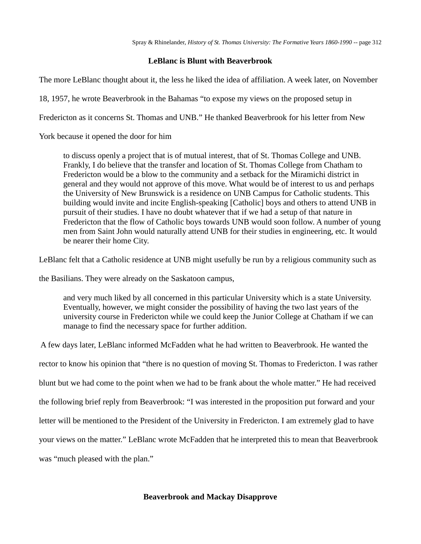# **LeBlanc is Blunt with Beaverbrook**

The more LeBlanc thought about it, the less he liked the idea of affiliation. A week later, on November

18, 1957, he wrote Beaverbrook in the Bahamas "to expose my views on the proposed setup in

Fredericton as it concerns St. Thomas and UNB." He thanked Beaverbrook for his letter from New

York because it opened the door for him

to discuss openly a project that is of mutual interest, that of St. Thomas College and UNB. Frankly, I do believe that the transfer and location of St. Thomas College from Chatham to Fredericton would be a blow to the community and a setback for the Miramichi district in general and they would not approve of this move. What would be of interest to us and perhaps the University of New Brunswick is a residence on UNB Campus for Catholic students. This building would invite and incite English-speaking [Catholic] boys and others to attend UNB in pursuit of their studies. I have no doubt whatever that if we had a setup of that nature in Fredericton that the flow of Catholic boys towards UNB would soon follow. A number of young men from Saint John would naturally attend UNB for their studies in engineering, etc. It would be nearer their home City.

LeBlanc felt that a Catholic residence at UNB might usefully be run by a religious community such as

the Basilians. They were already on the Saskatoon campus,

and very much liked by all concerned in this particular University which is a state University. Eventually, however, we might consider the possibility of having the two last years of the university course in Fredericton while we could keep the Junior College at Chatham if we can manage to find the necessary space for further addition.

A few days later, LeBlanc informed McFadden what he had written to Beaverbrook. He wanted the rector to know his opinion that "there is no question of moving St. Thomas to Fredericton. I was rather blunt but we had come to the point when we had to be frank about the whole matter." He had received the following brief reply from Beaverbrook: "I was interested in the proposition put forward and your letter will be mentioned to the President of the University in Fredericton. I am extremely glad to have your views on the matter." LeBlanc wrote McFadden that he interpreted this to mean that Beaverbrook was "much pleased with the plan."

# **Beaverbrook and Mackay Disapprove**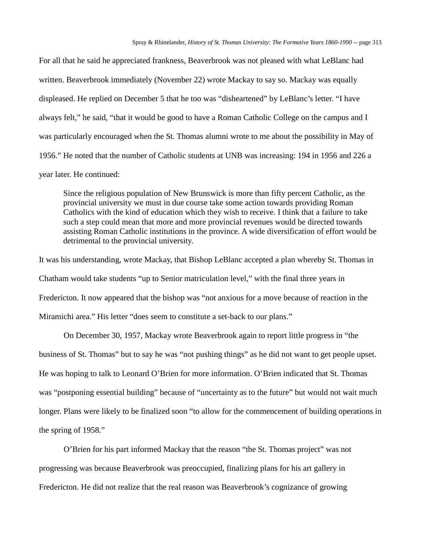For all that he said he appreciated frankness, Beaverbrook was not pleased with what LeBlanc had written. Beaverbrook immediately (November 22) wrote Mackay to say so. Mackay was equally displeased. He replied on December 5 that he too was "disheartened" by LeBlanc's letter. "I have always felt," he said, "that it would be good to have a Roman Catholic College on the campus and I was particularly encouraged when the St. Thomas alumni wrote to me about the possibility in May of 1956." He noted that the number of Catholic students at UNB was increasing: 194 in 1956 and 226 a year later. He continued:

Since the religious population of New Brunswick is more than fifty percent Catholic, as the provincial university we must in due course take some action towards providing Roman Catholics with the kind of education which they wish to receive. I think that a failure to take such a step could mean that more and more provincial revenues would be directed towards assisting Roman Catholic institutions in the province. A wide diversification of effort would be detrimental to the provincial university.

It was his understanding, wrote Mackay, that Bishop LeBlanc accepted a plan whereby St. Thomas in Chatham would take students "up to Senior matriculation level," with the final three years in Fredericton. It now appeared that the bishop was "not anxious for a move because of reaction in the Miramichi area." His letter "does seem to constitute a set-back to our plans."

On December 30, 1957, Mackay wrote Beaverbrook again to report little progress in "the business of St. Thomas" but to say he was "not pushing things" as he did not want to get people upset. He was hoping to talk to Leonard O'Brien for more information. O'Brien indicated that St. Thomas was "postponing essential building" because of "uncertainty as to the future" but would not wait much longer. Plans were likely to be finalized soon "to allow for the commencement of building operations in the spring of 1958."

O'Brien for his part informed Mackay that the reason "the St. Thomas project" was not progressing was because Beaverbrook was preoccupied, finalizing plans for his art gallery in Fredericton. He did not realize that the real reason was Beaverbrook's cognizance of growing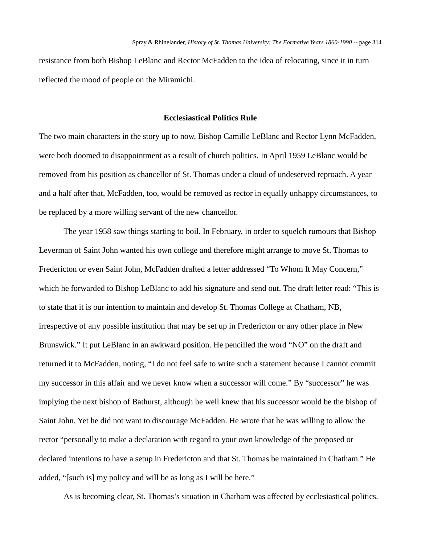resistance from both Bishop LeBlanc and Rector McFadden to the idea of relocating, since it in turn reflected the mood of people on the Miramichi.

## **Ecclesiastical Politics Rule**

The two main characters in the story up to now, Bishop Camille LeBlanc and Rector Lynn McFadden, were both doomed to disappointment as a result of church politics. In April 1959 LeBlanc would be removed from his position as chancellor of St. Thomas under a cloud of undeserved reproach. A year and a half after that, McFadden, too, would be removed as rector in equally unhappy circumstances, to be replaced by a more willing servant of the new chancellor.

The year 1958 saw things starting to boil. In February, in order to squelch rumours that Bishop Leverman of Saint John wanted his own college and therefore might arrange to move St. Thomas to Fredericton or even Saint John, McFadden drafted a letter addressed "To Whom It May Concern," which he forwarded to Bishop LeBlanc to add his signature and send out. The draft letter read: "This is to state that it is our intention to maintain and develop St. Thomas College at Chatham, NB, irrespective of any possible institution that may be set up in Fredericton or any other place in New Brunswick." It put LeBlanc in an awkward position. He pencilled the word "NO" on the draft and returned it to McFadden, noting, "I do not feel safe to write such a statement because I cannot commit my successor in this affair and we never know when a successor will come." By "successor" he was implying the next bishop of Bathurst, although he well knew that his successor would be the bishop of Saint John. Yet he did not want to discourage McFadden. He wrote that he was willing to allow the rector "personally to make a declaration with regard to your own knowledge of the proposed or declared intentions to have a setup in Fredericton and that St. Thomas be maintained in Chatham." He added, "[such is] my policy and will be as long as I will be here."

As is becoming clear, St. Thomas's situation in Chatham was affected by ecclesiastical politics.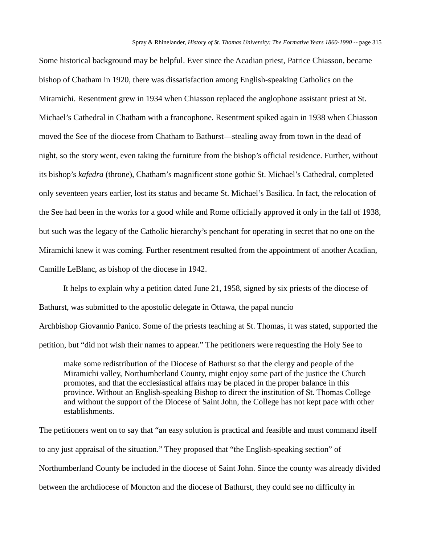Some historical background may be helpful. Ever since the Acadian priest, Patrice Chiasson, became bishop of Chatham in 1920, there was dissatisfaction among English-speaking Catholics on the Miramichi. Resentment grew in 1934 when Chiasson replaced the anglophone assistant priest at St. Michael's Cathedral in Chatham with a francophone. Resentment spiked again in 1938 when Chiasson moved the See of the diocese from Chatham to Bathurst—stealing away from town in the dead of night, so the story went, even taking the furniture from the bishop's official residence. Further, without its bishop's *kafedra* (throne), Chatham's magnificent stone gothic St. Michael's Cathedral, completed only seventeen years earlier, lost its status and became St. Michael's Basilica. In fact, the relocation of the See had been in the works for a good while and Rome officially approved it only in the fall of 1938, but such was the legacy of the Catholic hierarchy's penchant for operating in secret that no one on the Miramichi knew it was coming. Further resentment resulted from the appointment of another Acadian, Camille LeBlanc, as bishop of the diocese in 1942.

It helps to explain why a petition dated June 21, 1958, signed by six priests of the diocese of Bathurst, was submitted to the apostolic delegate in Ottawa, the papal nuncio

Archbishop Giovannio Panico. Some of the priests teaching at St. Thomas, it was stated, supported the petition, but "did not wish their names to appear." The petitioners were requesting the Holy See to

make some redistribution of the Diocese of Bathurst so that the clergy and people of the Miramichi valley, Northumberland County, might enjoy some part of the justice the Church promotes, and that the ecclesiastical affairs may be placed in the proper balance in this province. Without an English-speaking Bishop to direct the institution of St. Thomas College and without the support of the Diocese of Saint John, the College has not kept pace with other establishments.

The petitioners went on to say that "an easy solution is practical and feasible and must command itself to any just appraisal of the situation." They proposed that "the English-speaking section" of Northumberland County be included in the diocese of Saint John. Since the county was already divided between the archdiocese of Moncton and the diocese of Bathurst, they could see no difficulty in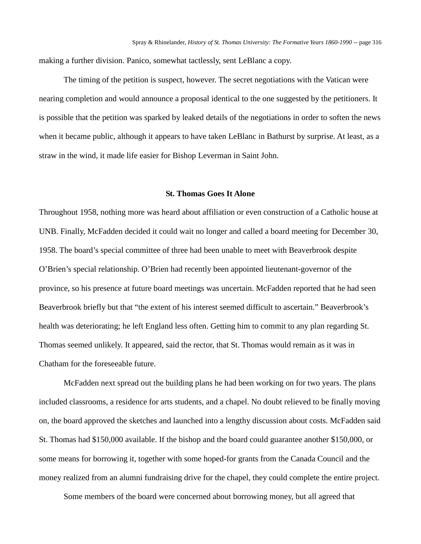making a further division. Panico, somewhat tactlessly, sent LeBlanc a copy.

The timing of the petition is suspect, however. The secret negotiations with the Vatican were nearing completion and would announce a proposal identical to the one suggested by the petitioners. It is possible that the petition was sparked by leaked details of the negotiations in order to soften the news when it became public, although it appears to have taken LeBlanc in Bathurst by surprise. At least, as a straw in the wind, it made life easier for Bishop Leverman in Saint John.

## **St. Thomas Goes It Alone**

Throughout 1958, nothing more was heard about affiliation or even construction of a Catholic house at UNB. Finally, McFadden decided it could wait no longer and called a board meeting for December 30, 1958. The board's special committee of three had been unable to meet with Beaverbrook despite O'Brien's special relationship. O'Brien had recently been appointed lieutenant-governor of the province, so his presence at future board meetings was uncertain. McFadden reported that he had seen Beaverbrook briefly but that "the extent of his interest seemed difficult to ascertain." Beaverbrook's health was deteriorating; he left England less often. Getting him to commit to any plan regarding St. Thomas seemed unlikely. It appeared, said the rector, that St. Thomas would remain as it was in Chatham for the foreseeable future.

McFadden next spread out the building plans he had been working on for two years. The plans included classrooms, a residence for arts students, and a chapel. No doubt relieved to be finally moving on, the board approved the sketches and launched into a lengthy discussion about costs. McFadden said St. Thomas had \$150,000 available. If the bishop and the board could guarantee another \$150,000, or some means for borrowing it, together with some hoped-for grants from the Canada Council and the money realized from an alumni fundraising drive for the chapel, they could complete the entire project.

Some members of the board were concerned about borrowing money, but all agreed that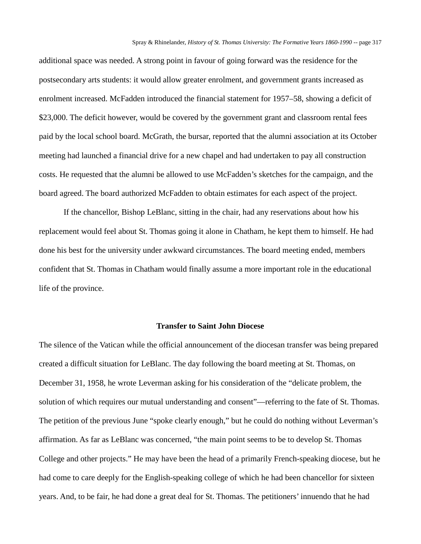additional space was needed. A strong point in favour of going forward was the residence for the postsecondary arts students: it would allow greater enrolment, and government grants increased as enrolment increased. McFadden introduced the financial statement for 1957–58, showing a deficit of \$23,000. The deficit however, would be covered by the government grant and classroom rental fees paid by the local school board. McGrath, the bursar, reported that the alumni association at its October meeting had launched a financial drive for a new chapel and had undertaken to pay all construction costs. He requested that the alumni be allowed to use McFadden's sketches for the campaign, and the board agreed. The board authorized McFadden to obtain estimates for each aspect of the project.

If the chancellor, Bishop LeBlanc, sitting in the chair, had any reservations about how his replacement would feel about St. Thomas going it alone in Chatham, he kept them to himself. He had done his best for the university under awkward circumstances. The board meeting ended, members confident that St. Thomas in Chatham would finally assume a more important role in the educational life of the province.

## **Transfer to Saint John Diocese**

The silence of the Vatican while the official announcement of the diocesan transfer was being prepared created a difficult situation for LeBlanc. The day following the board meeting at St. Thomas, on December 31, 1958, he wrote Leverman asking for his consideration of the "delicate problem, the solution of which requires our mutual understanding and consent"—referring to the fate of St. Thomas. The petition of the previous June "spoke clearly enough," but he could do nothing without Leverman's affirmation. As far as LeBlanc was concerned, "the main point seems to be to develop St. Thomas College and other projects." He may have been the head of a primarily French-speaking diocese, but he had come to care deeply for the English-speaking college of which he had been chancellor for sixteen years. And, to be fair, he had done a great deal for St. Thomas. The petitioners' innuendo that he had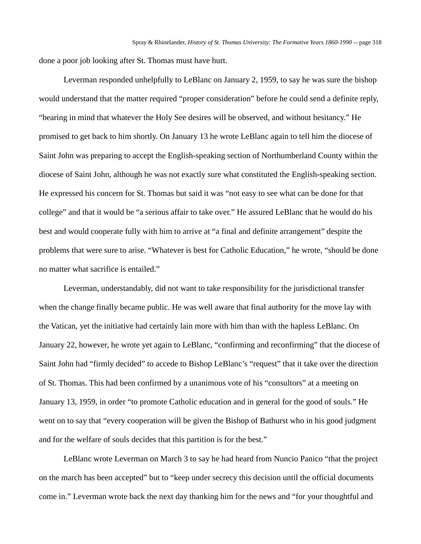done a poor job looking after St. Thomas must have hurt.

Leverman responded unhelpfully to LeBlanc on January 2, 1959, to say he was sure the bishop would understand that the matter required "proper consideration" before he could send a definite reply, "bearing in mind that whatever the Holy See desires will be observed, and without hesitancy." He promised to get back to him shortly. On January 13 he wrote LeBlanc again to tell him the diocese of Saint John was preparing to accept the English-speaking section of Northumberland County within the diocese of Saint John, although he was not exactly sure what constituted the English-speaking section. He expressed his concern for St. Thomas but said it was "not easy to see what can be done for that college" and that it would be "a serious affair to take over." He assured LeBlanc that he would do his best and would cooperate fully with him to arrive at "a final and definite arrangement" despite the problems that were sure to arise. "Whatever is best for Catholic Education," he wrote, "should be done no matter what sacrifice is entailed."

Leverman, understandably, did not want to take responsibility for the jurisdictional transfer when the change finally became public. He was well aware that final authority for the move lay with the Vatican, yet the initiative had certainly lain more with him than with the hapless LeBlanc. On January 22, however, he wrote yet again to LeBlanc, "confirming and reconfirming" that the diocese of Saint John had "firmly decided" to accede to Bishop LeBlanc's "request" that it take over the direction of St. Thomas. This had been confirmed by a unanimous vote of his "consultors" at a meeting on January 13, 1959, in order "to promote Catholic education and in general for the good of souls." He went on to say that "every cooperation will be given the Bishop of Bathurst who in his good judgment and for the welfare of souls decides that this partition is for the best."

LeBlanc wrote Leverman on March 3 to say he had heard from Nuncio Panico "that the project on the march has been accepted" but to "keep under secrecy this decision until the official documents come in." Leverman wrote back the next day thanking him for the news and "for your thoughtful and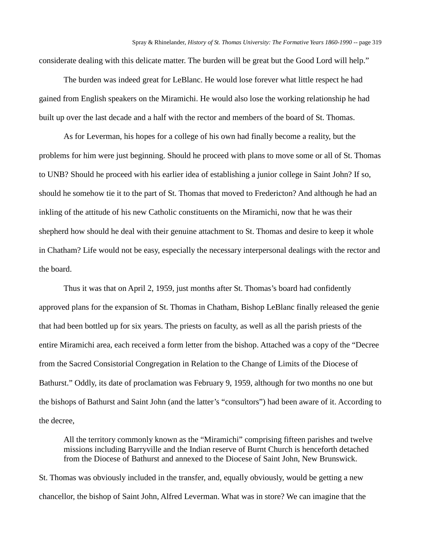considerate dealing with this delicate matter. The burden will be great but the Good Lord will help."

The burden was indeed great for LeBlanc. He would lose forever what little respect he had gained from English speakers on the Miramichi. He would also lose the working relationship he had built up over the last decade and a half with the rector and members of the board of St. Thomas.

As for Leverman, his hopes for a college of his own had finally become a reality, but the problems for him were just beginning. Should he proceed with plans to move some or all of St. Thomas to UNB? Should he proceed with his earlier idea of establishing a junior college in Saint John? If so, should he somehow tie it to the part of St. Thomas that moved to Fredericton? And although he had an inkling of the attitude of his new Catholic constituents on the Miramichi, now that he was their shepherd how should he deal with their genuine attachment to St. Thomas and desire to keep it whole in Chatham? Life would not be easy, especially the necessary interpersonal dealings with the rector and the board.

Thus it was that on April 2, 1959, just months after St. Thomas's board had confidently approved plans for the expansion of St. Thomas in Chatham, Bishop LeBlanc finally released the genie that had been bottled up for six years. The priests on faculty, as well as all the parish priests of the entire Miramichi area, each received a form letter from the bishop. Attached was a copy of the "Decree from the Sacred Consistorial Congregation in Relation to the Change of Limits of the Diocese of Bathurst." Oddly, its date of proclamation was February 9, 1959, although for two months no one but the bishops of Bathurst and Saint John (and the latter's "consultors") had been aware of it. According to the decree,

All the territory commonly known as the "Miramichi" comprising fifteen parishes and twelve missions including Barryville and the Indian reserve of Burnt Church is henceforth detached from the Diocese of Bathurst and annexed to the Diocese of Saint John, New Brunswick.

St. Thomas was obviously included in the transfer, and, equally obviously, would be getting a new chancellor, the bishop of Saint John, Alfred Leverman. What was in store? We can imagine that the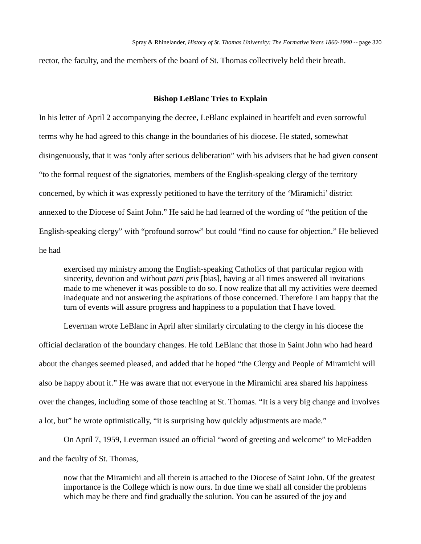rector, the faculty, and the members of the board of St. Thomas collectively held their breath.

#### **Bishop LeBlanc Tries to Explain**

In his letter of April 2 accompanying the decree, LeBlanc explained in heartfelt and even sorrowful terms why he had agreed to this change in the boundaries of his diocese. He stated, somewhat disingenuously, that it was "only after serious deliberation" with his advisers that he had given consent "to the formal request of the signatories, members of the English-speaking clergy of the territory concerned, by which it was expressly petitioned to have the territory of the 'Miramichi' district annexed to the Diocese of Saint John." He said he had learned of the wording of "the petition of the English-speaking clergy" with "profound sorrow" but could "find no cause for objection." He believed he had

exercised my ministry among the English-speaking Catholics of that particular region with sincerity, devotion and without *parti pris* [bias], having at all times answered all invitations made to me whenever it was possible to do so. I now realize that all my activities were deemed inadequate and not answering the aspirations of those concerned. Therefore I am happy that the turn of events will assure progress and happiness to a population that I have loved.

Leverman wrote LeBlanc in April after similarly circulating to the clergy in his diocese the official declaration of the boundary changes. He told LeBlanc that those in Saint John who had heard about the changes seemed pleased, and added that he hoped "the Clergy and People of Miramichi will also be happy about it." He was aware that not everyone in the Miramichi area shared his happiness over the changes, including some of those teaching at St. Thomas. "It is a very big change and involves a lot, but" he wrote optimistically, "it is surprising how quickly adjustments are made."

On April 7, 1959, Leverman issued an official "word of greeting and welcome" to McFadden and the faculty of St. Thomas,

now that the Miramichi and all therein is attached to the Diocese of Saint John. Of the greatest importance is the College which is now ours. In due time we shall all consider the problems which may be there and find gradually the solution. You can be assured of the joy and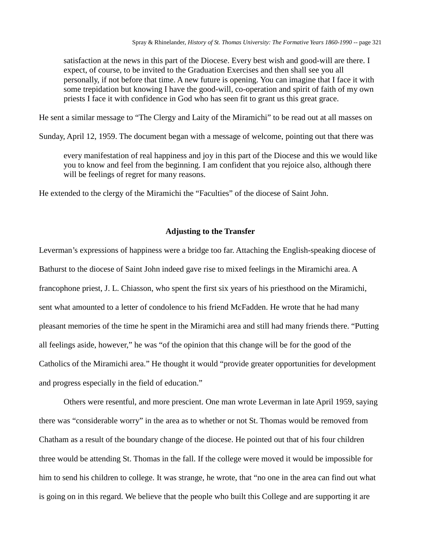satisfaction at the news in this part of the Diocese. Every best wish and good-will are there. I expect, of course, to be invited to the Graduation Exercises and then shall see you all personally, if not before that time. A new future is opening. You can imagine that I face it with some trepidation but knowing I have the good-will, co-operation and spirit of faith of my own priests I face it with confidence in God who has seen fit to grant us this great grace.

He sent a similar message to "The Clergy and Laity of the Miramichi" to be read out at all masses on

Sunday, April 12, 1959. The document began with a message of welcome, pointing out that there was

every manifestation of real happiness and joy in this part of the Diocese and this we would like you to know and feel from the beginning. I am confident that you rejoice also, although there will be feelings of regret for many reasons.

He extended to the clergy of the Miramichi the "Faculties" of the diocese of Saint John.

### **Adjusting to the Transfer**

Leverman's expressions of happiness were a bridge too far. Attaching the English-speaking diocese of Bathurst to the diocese of Saint John indeed gave rise to mixed feelings in the Miramichi area. A francophone priest, J. L. Chiasson, who spent the first six years of his priesthood on the Miramichi, sent what amounted to a letter of condolence to his friend McFadden. He wrote that he had many pleasant memories of the time he spent in the Miramichi area and still had many friends there. "Putting all feelings aside, however," he was "of the opinion that this change will be for the good of the Catholics of the Miramichi area." He thought it would "provide greater opportunities for development and progress especially in the field of education."

Others were resentful, and more prescient. One man wrote Leverman in late April 1959, saying there was "considerable worry" in the area as to whether or not St. Thomas would be removed from Chatham as a result of the boundary change of the diocese. He pointed out that of his four children three would be attending St. Thomas in the fall. If the college were moved it would be impossible for him to send his children to college. It was strange, he wrote, that "no one in the area can find out what is going on in this regard. We believe that the people who built this College and are supporting it are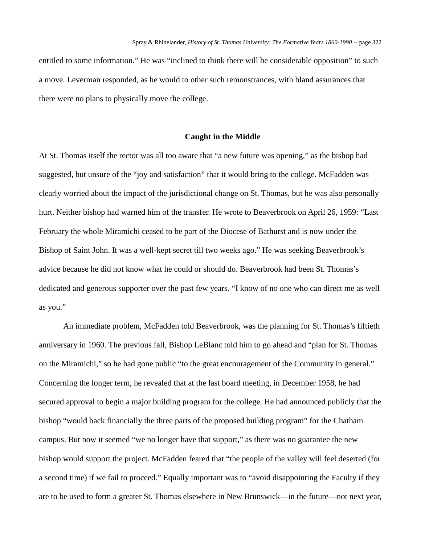entitled to some information." He was "inclined to think there will be considerable opposition" to such a move. Leverman responded, as he would to other such remonstrances, with bland assurances that there were no plans to physically move the college.

### **Caught in the Middle**

At St. Thomas itself the rector was all too aware that "a new future was opening," as the bishop had suggested, but unsure of the "joy and satisfaction" that it would bring to the college. McFadden was clearly worried about the impact of the jurisdictional change on St. Thomas, but he was also personally hurt. Neither bishop had warned him of the transfer. He wrote to Beaverbrook on April 26, 1959: "Last February the whole Miramichi ceased to be part of the Diocese of Bathurst and is now under the Bishop of Saint John. It was a well-kept secret till two weeks ago." He was seeking Beaverbrook's advice because he did not know what he could or should do. Beaverbrook had been St. Thomas's dedicated and generous supporter over the past few years. "I know of no one who can direct me as well as you."

An immediate problem, McFadden told Beaverbrook, was the planning for St. Thomas's fiftieth anniversary in 1960. The previous fall, Bishop LeBlanc told him to go ahead and "plan for St. Thomas on the Miramichi," so he had gone public "to the great encouragement of the Community in general." Concerning the longer term, he revealed that at the last board meeting, in December 1958, he had secured approval to begin a major building program for the college. He had announced publicly that the bishop "would back financially the three parts of the proposed building program" for the Chatham campus. But now it seemed "we no longer have that support," as there was no guarantee the new bishop would support the project. McFadden feared that "the people of the valley will feel deserted (for a second time) if we fail to proceed." Equally important was to "avoid disappointing the Faculty if they are to be used to form a greater St. Thomas elsewhere in New Brunswick—in the future—not next year,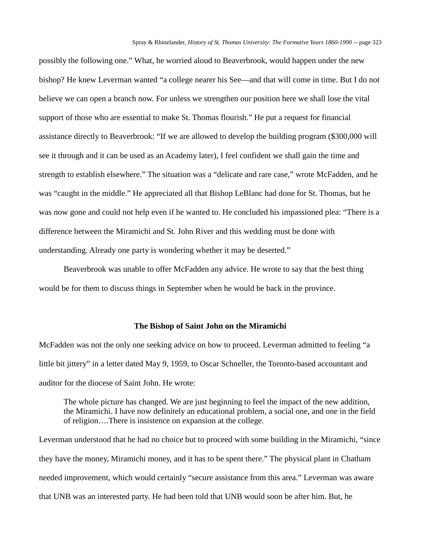possibly the following one." What, he worried aloud to Beaverbrook, would happen under the new bishop? He knew Leverman wanted "a college nearer his See—and that will come in time. But I do not believe we can open a branch now. For unless we strengthen our position here we shall lose the vital support of those who are essential to make St. Thomas flourish." He put a request for financial assistance directly to Beaverbrook: "If we are allowed to develop the building program (\$300,000 will see it through and it can be used as an Academy later), I feel confident we shall gain the time and strength to establish elsewhere." The situation was a "delicate and rare case," wrote McFadden, and he was "caught in the middle." He appreciated all that Bishop LeBlanc had done for St. Thomas, but he was now gone and could not help even if he wanted to. He concluded his impassioned plea: "There is a difference between the Miramichi and St. John River and this wedding must be done with understanding. Already one party is wondering whether it may be deserted."

Beaverbrook was unable to offer McFadden any advice. He wrote to say that the best thing would be for them to discuss things in September when he would be back in the province.

#### **The Bishop of Saint John on the Miramichi**

McFadden was not the only one seeking advice on how to proceed. Leverman admitted to feeling "a little bit jittery" in a letter dated May 9, 1959, to Oscar Schneller, the Toronto-based accountant and auditor for the diocese of Saint John. He wrote:

The whole picture has changed. We are just beginning to feel the impact of the new addition, the Miramichi. I have now definitely an educational problem, a social one, and one in the field of religion….There is insistence on expansion at the college.

Leverman understood that he had no choice but to proceed with some building in the Miramichi, "since they have the money, Miramichi money, and it has to be spent there." The physical plant in Chatham needed improvement, which would certainly "secure assistance from this area." Leverman was aware that UNB was an interested party. He had been told that UNB would soon be after him. But, he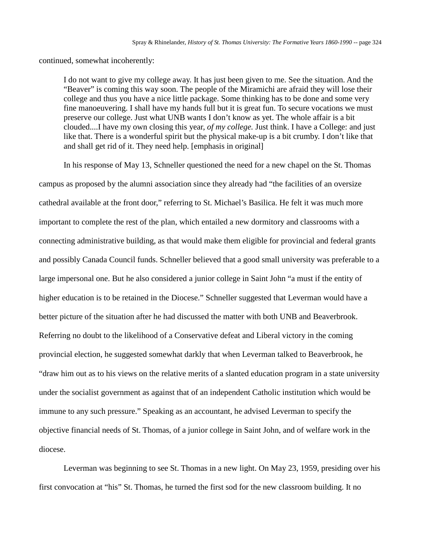continued, somewhat incoherently:

I do not want to give my college away. It has just been given to me. See the situation. And the "Beaver" is coming this way soon. The people of the Miramichi are afraid they will lose their college and thus you have a nice little package. Some thinking has to be done and some very fine manoeuvering. I shall have my hands full but it is great fun. To secure vocations we must preserve our college. Just what UNB wants I don't know as yet. The whole affair is a bit clouded....I have my own closing this year, *of my college.* Just think. I have a College: and just like that. There is a wonderful spirit but the physical make-up is a bit crumby. I don't like that and shall get rid of it. They need help. [emphasis in original]

In his response of May 13, Schneller questioned the need for a new chapel on the St. Thomas

campus as proposed by the alumni association since they already had "the facilities of an oversize cathedral available at the front door," referring to St. Michael's Basilica. He felt it was much more important to complete the rest of the plan, which entailed a new dormitory and classrooms with a connecting administrative building, as that would make them eligible for provincial and federal grants and possibly Canada Council funds. Schneller believed that a good small university was preferable to a large impersonal one. But he also considered a junior college in Saint John "a must if the entity of higher education is to be retained in the Diocese." Schneller suggested that Leverman would have a better picture of the situation after he had discussed the matter with both UNB and Beaverbrook. Referring no doubt to the likelihood of a Conservative defeat and Liberal victory in the coming provincial election, he suggested somewhat darkly that when Leverman talked to Beaverbrook, he "draw him out as to his views on the relative merits of a slanted education program in a state university under the socialist government as against that of an independent Catholic institution which would be immune to any such pressure." Speaking as an accountant, he advised Leverman to specify the objective financial needs of St. Thomas, of a junior college in Saint John, and of welfare work in the diocese.

Leverman was beginning to see St. Thomas in a new light. On May 23, 1959, presiding over his first convocation at "his" St. Thomas, he turned the first sod for the new classroom building. It no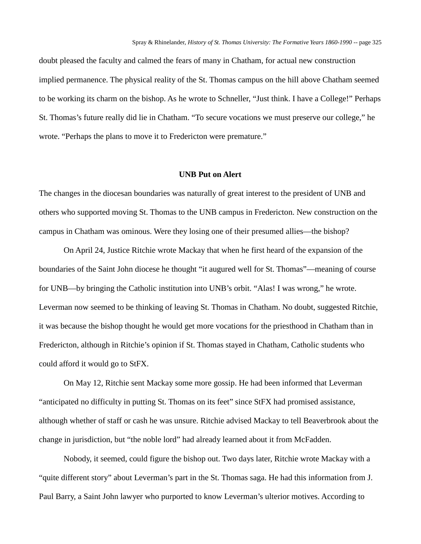doubt pleased the faculty and calmed the fears of many in Chatham, for actual new construction implied permanence. The physical reality of the St. Thomas campus on the hill above Chatham seemed to be working its charm on the bishop. As he wrote to Schneller, "Just think. I have a College!" Perhaps St. Thomas's future really did lie in Chatham. "To secure vocations we must preserve our college," he wrote. "Perhaps the plans to move it to Fredericton were premature."

#### **UNB Put on Alert**

The changes in the diocesan boundaries was naturally of great interest to the president of UNB and others who supported moving St. Thomas to the UNB campus in Fredericton. New construction on the campus in Chatham was ominous. Were they losing one of their presumed allies—the bishop?

On April 24, Justice Ritchie wrote Mackay that when he first heard of the expansion of the boundaries of the Saint John diocese he thought "it augured well for St. Thomas"—meaning of course for UNB—by bringing the Catholic institution into UNB's orbit. "Alas! I was wrong," he wrote. Leverman now seemed to be thinking of leaving St. Thomas in Chatham. No doubt, suggested Ritchie, it was because the bishop thought he would get more vocations for the priesthood in Chatham than in Fredericton, although in Ritchie's opinion if St. Thomas stayed in Chatham, Catholic students who could afford it would go to StFX.

On May 12, Ritchie sent Mackay some more gossip. He had been informed that Leverman "anticipated no difficulty in putting St. Thomas on its feet" since StFX had promised assistance, although whether of staff or cash he was unsure. Ritchie advised Mackay to tell Beaverbrook about the change in jurisdiction, but "the noble lord" had already learned about it from McFadden.

Nobody, it seemed, could figure the bishop out. Two days later, Ritchie wrote Mackay with a "quite different story" about Leverman's part in the St. Thomas saga. He had this information from J. Paul Barry, a Saint John lawyer who purported to know Leverman's ulterior motives. According to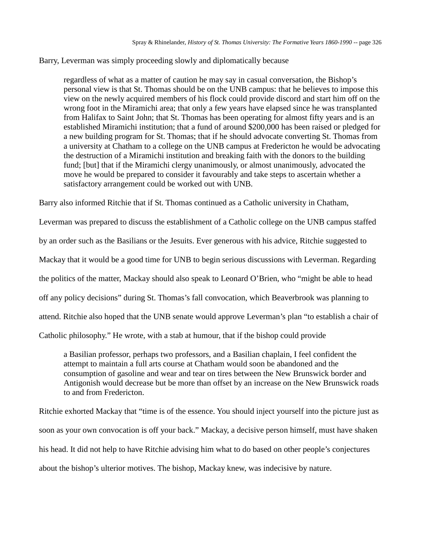Barry, Leverman was simply proceeding slowly and diplomatically because

regardless of what as a matter of caution he may say in casual conversation, the Bishop's personal view is that St. Thomas should be on the UNB campus: that he believes to impose this view on the newly acquired members of his flock could provide discord and start him off on the wrong foot in the Miramichi area; that only a few years have elapsed since he was transplanted from Halifax to Saint John; that St. Thomas has been operating for almost fifty years and is an established Miramichi institution; that a fund of around \$200,000 has been raised or pledged for a new building program for St. Thomas; that if he should advocate converting St. Thomas from a university at Chatham to a college on the UNB campus at Fredericton he would be advocating the destruction of a Miramichi institution and breaking faith with the donors to the building fund; [but] that if the Miramichi clergy unanimously, or almost unanimously, advocated the move he would be prepared to consider it favourably and take steps to ascertain whether a satisfactory arrangement could be worked out with UNB.

Barry also informed Ritchie that if St. Thomas continued as a Catholic university in Chatham,

Leverman was prepared to discuss the establishment of a Catholic college on the UNB campus staffed by an order such as the Basilians or the Jesuits. Ever generous with his advice, Ritchie suggested to Mackay that it would be a good time for UNB to begin serious discussions with Leverman. Regarding the politics of the matter, Mackay should also speak to Leonard O'Brien, who "might be able to head off any policy decisions" during St. Thomas's fall convocation, which Beaverbrook was planning to attend. Ritchie also hoped that the UNB senate would approve Leverman's plan "to establish a chair of Catholic philosophy." He wrote, with a stab at humour, that if the bishop could provide

a Basilian professor, perhaps two professors, and a Basilian chaplain, I feel confident the attempt to maintain a full arts course at Chatham would soon be abandoned and the consumption of gasoline and wear and tear on tires between the New Brunswick border and Antigonish would decrease but be more than offset by an increase on the New Brunswick roads to and from Fredericton.

Ritchie exhorted Mackay that "time is of the essence. You should inject yourself into the picture just as soon as your own convocation is off your back." Mackay, a decisive person himself, must have shaken his head. It did not help to have Ritchie advising him what to do based on other people's conjectures about the bishop's ulterior motives. The bishop, Mackay knew, was indecisive by nature.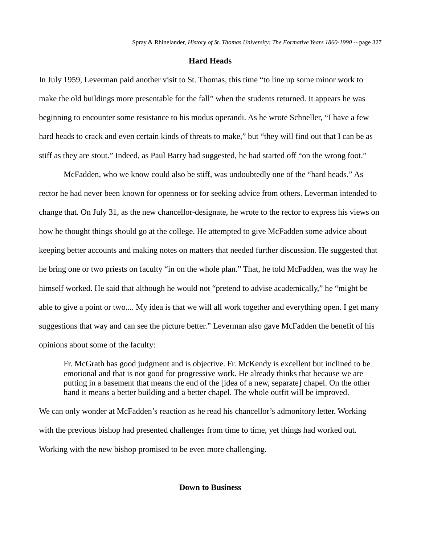## **Hard Heads**

In July 1959, Leverman paid another visit to St. Thomas, this time "to line up some minor work to make the old buildings more presentable for the fall" when the students returned. It appears he was beginning to encounter some resistance to his modus operandi. As he wrote Schneller, "I have a few hard heads to crack and even certain kinds of threats to make," but "they will find out that I can be as stiff as they are stout." Indeed, as Paul Barry had suggested, he had started off "on the wrong foot."

McFadden, who we know could also be stiff, was undoubtedly one of the "hard heads." As rector he had never been known for openness or for seeking advice from others. Leverman intended to change that. On July 31, as the new chancellor-designate, he wrote to the rector to express his views on how he thought things should go at the college. He attempted to give McFadden some advice about keeping better accounts and making notes on matters that needed further discussion. He suggested that he bring one or two priests on faculty "in on the whole plan." That, he told McFadden, was the way he himself worked. He said that although he would not "pretend to advise academically," he "might be able to give a point or two.... My idea is that we will all work together and everything open. I get many suggestions that way and can see the picture better." Leverman also gave McFadden the benefit of his opinions about some of the faculty:

Fr. McGrath has good judgment and is objective. Fr. McKendy is excellent but inclined to be emotional and that is not good for progressive work. He already thinks that because we are putting in a basement that means the end of the [idea of a new, separate] chapel. On the other hand it means a better building and a better chapel. The whole outfit will be improved.

We can only wonder at McFadden's reaction as he read his chancellor's admonitory letter. Working with the previous bishop had presented challenges from time to time, yet things had worked out. Working with the new bishop promised to be even more challenging.

**Down to Business**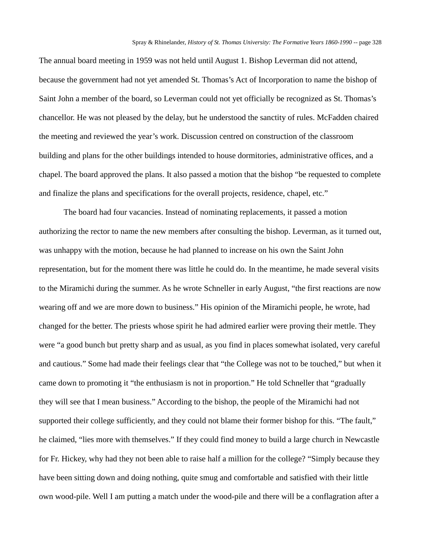The annual board meeting in 1959 was not held until August 1. Bishop Leverman did not attend, because the government had not yet amended St. Thomas's Act of Incorporation to name the bishop of Saint John a member of the board, so Leverman could not yet officially be recognized as St. Thomas's chancellor. He was not pleased by the delay, but he understood the sanctity of rules. McFadden chaired the meeting and reviewed the year's work. Discussion centred on construction of the classroom building and plans for the other buildings intended to house dormitories, administrative offices, and a chapel. The board approved the plans. It also passed a motion that the bishop "be requested to complete and finalize the plans and specifications for the overall projects, residence, chapel, etc."

The board had four vacancies. Instead of nominating replacements, it passed a motion authorizing the rector to name the new members after consulting the bishop. Leverman, as it turned out, was unhappy with the motion, because he had planned to increase on his own the Saint John representation, but for the moment there was little he could do. In the meantime, he made several visits to the Miramichi during the summer. As he wrote Schneller in early August, "the first reactions are now wearing off and we are more down to business." His opinion of the Miramichi people, he wrote, had changed for the better. The priests whose spirit he had admired earlier were proving their mettle. They were "a good bunch but pretty sharp and as usual, as you find in places somewhat isolated, very careful and cautious." Some had made their feelings clear that "the College was not to be touched," but when it came down to promoting it "the enthusiasm is not in proportion." He told Schneller that "gradually they will see that I mean business." According to the bishop, the people of the Miramichi had not supported their college sufficiently, and they could not blame their former bishop for this. "The fault," he claimed, "lies more with themselves." If they could find money to build a large church in Newcastle for Fr. Hickey, why had they not been able to raise half a million for the college? "Simply because they have been sitting down and doing nothing, quite smug and comfortable and satisfied with their little own wood-pile. Well I am putting a match under the wood-pile and there will be a conflagration after a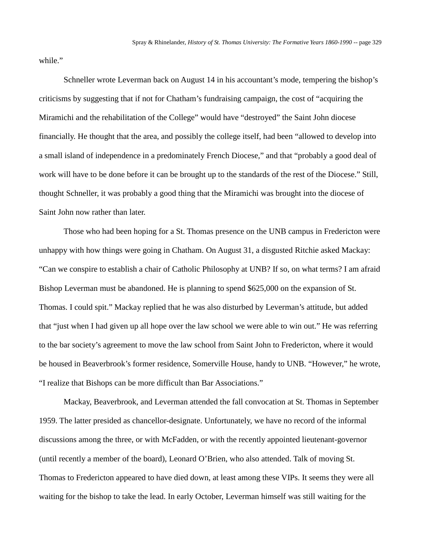while."

Schneller wrote Leverman back on August 14 in his accountant's mode, tempering the bishop's criticisms by suggesting that if not for Chatham's fundraising campaign, the cost of "acquiring the Miramichi and the rehabilitation of the College" would have "destroyed" the Saint John diocese financially. He thought that the area, and possibly the college itself, had been "allowed to develop into a small island of independence in a predominately French Diocese," and that "probably a good deal of work will have to be done before it can be brought up to the standards of the rest of the Diocese." Still, thought Schneller, it was probably a good thing that the Miramichi was brought into the diocese of Saint John now rather than later.

Those who had been hoping for a St. Thomas presence on the UNB campus in Fredericton were unhappy with how things were going in Chatham. On August 31, a disgusted Ritchie asked Mackay: "Can we conspire to establish a chair of Catholic Philosophy at UNB? If so, on what terms? I am afraid Bishop Leverman must be abandoned. He is planning to spend \$625,000 on the expansion of St. Thomas. I could spit." Mackay replied that he was also disturbed by Leverman's attitude, but added that "just when I had given up all hope over the law school we were able to win out." He was referring to the bar society's agreement to move the law school from Saint John to Fredericton, where it would be housed in Beaverbrook's former residence, Somerville House, handy to UNB. "However," he wrote, "I realize that Bishops can be more difficult than Bar Associations."

Mackay, Beaverbrook, and Leverman attended the fall convocation at St. Thomas in September 1959. The latter presided as chancellor-designate. Unfortunately, we have no record of the informal discussions among the three, or with McFadden, or with the recently appointed lieutenant-governor (until recently a member of the board), Leonard O'Brien, who also attended. Talk of moving St. Thomas to Fredericton appeared to have died down, at least among these VIPs. It seems they were all waiting for the bishop to take the lead. In early October, Leverman himself was still waiting for the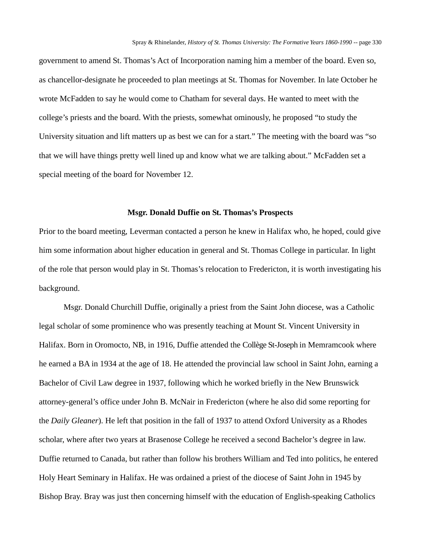government to amend St. Thomas's Act of Incorporation naming him a member of the board. Even so, as chancellor-designate he proceeded to plan meetings at St. Thomas for November. In late October he wrote McFadden to say he would come to Chatham for several days. He wanted to meet with the college's priests and the board. With the priests, somewhat ominously, he proposed "to study the University situation and lift matters up as best we can for a start." The meeting with the board was "so that we will have things pretty well lined up and know what we are talking about." McFadden set a special meeting of the board for November 12.

#### **Msgr. Donald Duffie on St. Thomas's Prospects**

Prior to the board meeting, Leverman contacted a person he knew in Halifax who, he hoped, could give him some information about higher education in general and St. Thomas College in particular. In light of the role that person would play in St. Thomas's relocation to Fredericton, it is worth investigating his background.

Msgr. Donald Churchill Duffie, originally a priest from the Saint John diocese, was a Catholic legal scholar of some prominence who was presently teaching at Mount St. Vincent University in Halifax. Born in Oromocto, NB, in 1916, Duffie attended the Collège St-Joseph in Memramcook where he earned a BA in 1934 at the age of 18. He attended the provincial law school in Saint John, earning a Bachelor of Civil Law degree in 1937, following which he worked briefly in the New Brunswick attorney-general's office under John B. McNair in Fredericton (where he also did some reporting for the *Daily Gleaner*). He left that position in the fall of 1937 to attend Oxford University as a Rhodes scholar, where after two years at Brasenose College he received a second Bachelor's degree in law. Duffie returned to Canada, but rather than follow his brothers William and Ted into politics, he entered Holy Heart Seminary in Halifax. He was ordained a priest of the diocese of Saint John in 1945 by Bishop Bray. Bray was just then concerning himself with the education of English-speaking Catholics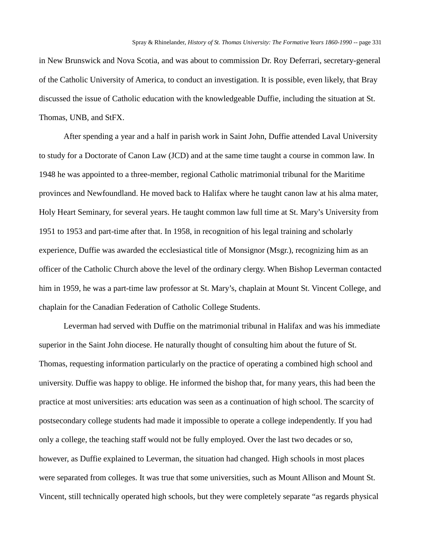in New Brunswick and Nova Scotia, and was about to commission Dr. Roy Deferrari, secretary-general of the Catholic University of America, to conduct an investigation. It is possible, even likely, that Bray discussed the issue of Catholic education with the knowledgeable Duffie, including the situation at St. Thomas, UNB, and StFX.

After spending a year and a half in parish work in Saint John, Duffie attended Laval University to study for a Doctorate of Canon Law (JCD) and at the same time taught a course in common law. In 1948 he was appointed to a three-member, regional Catholic matrimonial tribunal for the Maritime provinces and Newfoundland. He moved back to Halifax where he taught canon law at his alma mater, Holy Heart Seminary, for several years. He taught common law full time at St. Mary's University from 1951 to 1953 and part-time after that. In 1958, in recognition of his legal training and scholarly experience, Duffie was awarded the ecclesiastical title of Monsignor (Msgr.), recognizing him as an officer of the Catholic Church above the level of the ordinary clergy. When Bishop Leverman contacted him in 1959, he was a part-time law professor at St. Mary's, chaplain at Mount St. Vincent College, and chaplain for the Canadian Federation of Catholic College Students.

Leverman had served with Duffie on the matrimonial tribunal in Halifax and was his immediate superior in the Saint John diocese. He naturally thought of consulting him about the future of St. Thomas, requesting information particularly on the practice of operating a combined high school and university. Duffie was happy to oblige. He informed the bishop that, for many years, this had been the practice at most universities: arts education was seen as a continuation of high school. The scarcity of postsecondary college students had made it impossible to operate a college independently. If you had only a college, the teaching staff would not be fully employed. Over the last two decades or so, however, as Duffie explained to Leverman, the situation had changed. High schools in most places were separated from colleges. It was true that some universities, such as Mount Allison and Mount St. Vincent, still technically operated high schools, but they were completely separate "as regards physical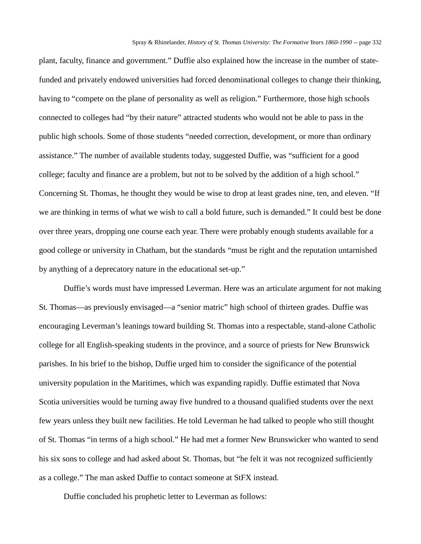plant, faculty, finance and government." Duffie also explained how the increase in the number of statefunded and privately endowed universities had forced denominational colleges to change their thinking, having to "compete on the plane of personality as well as religion." Furthermore, those high schools connected to colleges had "by their nature" attracted students who would not be able to pass in the public high schools. Some of those students "needed correction, development, or more than ordinary assistance." The number of available students today, suggested Duffie, was "sufficient for a good college; faculty and finance are a problem, but not to be solved by the addition of a high school." Concerning St. Thomas, he thought they would be wise to drop at least grades nine, ten, and eleven. "If we are thinking in terms of what we wish to call a bold future, such is demanded." It could best be done over three years, dropping one course each year. There were probably enough students available for a good college or university in Chatham, but the standards "must be right and the reputation untarnished by anything of a deprecatory nature in the educational set-up."

Duffie's words must have impressed Leverman. Here was an articulate argument for not making St. Thomas—as previously envisaged—a "senior matric" high school of thirteen grades. Duffie was encouraging Leverman's leanings toward building St. Thomas into a respectable, stand-alone Catholic college for all English-speaking students in the province, and a source of priests for New Brunswick parishes. In his brief to the bishop, Duffie urged him to consider the significance of the potential university population in the Maritimes, which was expanding rapidly. Duffie estimated that Nova Scotia universities would be turning away five hundred to a thousand qualified students over the next few years unless they built new facilities. He told Leverman he had talked to people who still thought of St. Thomas "in terms of a high school." He had met a former New Brunswicker who wanted to send his six sons to college and had asked about St. Thomas, but "he felt it was not recognized sufficiently as a college." The man asked Duffie to contact someone at StFX instead.

Duffie concluded his prophetic letter to Leverman as follows: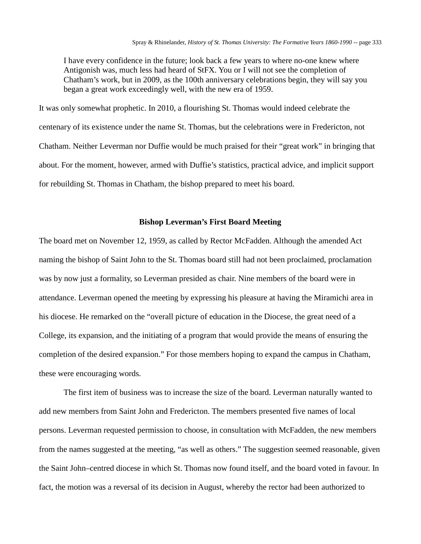I have every confidence in the future; look back a few years to where no-one knew where Antigonish was, much less had heard of StFX. You or I will not see the completion of Chatham's work, but in 2009, as the 100th anniversary celebrations begin, they will say you began a great work exceedingly well, with the new era of 1959.

It was only somewhat prophetic. In 2010, a flourishing St. Thomas would indeed celebrate the centenary of its existence under the name St. Thomas, but the celebrations were in Fredericton, not Chatham. Neither Leverman nor Duffie would be much praised for their "great work" in bringing that about. For the moment, however, armed with Duffie's statistics, practical advice, and implicit support for rebuilding St. Thomas in Chatham, the bishop prepared to meet his board.

## **Bishop Leverman's First Board Meeting**

The board met on November 12, 1959, as called by Rector McFadden. Although the amended Act naming the bishop of Saint John to the St. Thomas board still had not been proclaimed, proclamation was by now just a formality, so Leverman presided as chair. Nine members of the board were in attendance. Leverman opened the meeting by expressing his pleasure at having the Miramichi area in his diocese. He remarked on the "overall picture of education in the Diocese, the great need of a College, its expansion, and the initiating of a program that would provide the means of ensuring the completion of the desired expansion." For those members hoping to expand the campus in Chatham, these were encouraging words.

The first item of business was to increase the size of the board. Leverman naturally wanted to add new members from Saint John and Fredericton. The members presented five names of local persons. Leverman requested permission to choose, in consultation with McFadden, the new members from the names suggested at the meeting, "as well as others." The suggestion seemed reasonable, given the Saint John–centred diocese in which St. Thomas now found itself, and the board voted in favour. In fact, the motion was a reversal of its decision in August, whereby the rector had been authorized to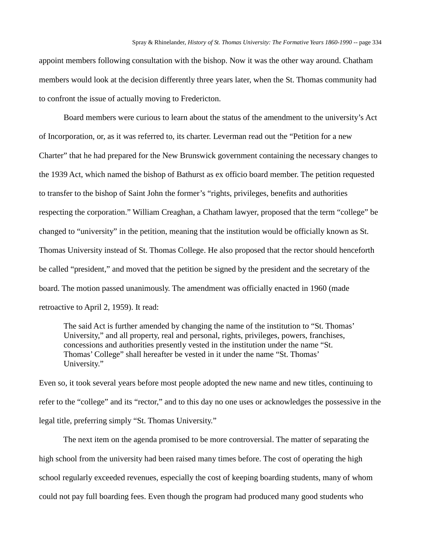appoint members following consultation with the bishop. Now it was the other way around. Chatham members would look at the decision differently three years later, when the St. Thomas community had to confront the issue of actually moving to Fredericton.

Board members were curious to learn about the status of the amendment to the university's Act of Incorporation, or, as it was referred to, its charter. Leverman read out the "Petition for a new Charter" that he had prepared for the New Brunswick government containing the necessary changes to the 1939 Act, which named the bishop of Bathurst as ex officio board member. The petition requested to transfer to the bishop of Saint John the former's "rights, privileges, benefits and authorities respecting the corporation." William Creaghan, a Chatham lawyer, proposed that the term "college" be changed to "university" in the petition, meaning that the institution would be officially known as St. Thomas University instead of St. Thomas College. He also proposed that the rector should henceforth be called "president," and moved that the petition be signed by the president and the secretary of the board. The motion passed unanimously. The amendment was officially enacted in 1960 (made retroactive to April 2, 1959). It read:

The said Act is further amended by changing the name of the institution to "St. Thomas' University," and all property, real and personal, rights, privileges, powers, franchises, concessions and authorities presently vested in the institution under the name "St. Thomas' College" shall hereafter be vested in it under the name "St. Thomas' University."

Even so, it took several years before most people adopted the new name and new titles, continuing to refer to the "college" and its "rector," and to this day no one uses or acknowledges the possessive in the legal title, preferring simply "St. Thomas University."

The next item on the agenda promised to be more controversial. The matter of separating the high school from the university had been raised many times before. The cost of operating the high school regularly exceeded revenues, especially the cost of keeping boarding students, many of whom could not pay full boarding fees. Even though the program had produced many good students who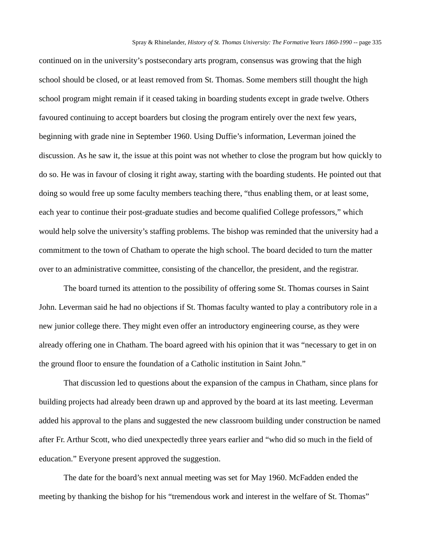continued on in the university's postsecondary arts program, consensus was growing that the high school should be closed, or at least removed from St. Thomas. Some members still thought the high school program might remain if it ceased taking in boarding students except in grade twelve. Others favoured continuing to accept boarders but closing the program entirely over the next few years, beginning with grade nine in September 1960. Using Duffie's information, Leverman joined the discussion. As he saw it, the issue at this point was not whether to close the program but how quickly to do so. He was in favour of closing it right away, starting with the boarding students. He pointed out that doing so would free up some faculty members teaching there, "thus enabling them, or at least some, each year to continue their post-graduate studies and become qualified College professors," which would help solve the university's staffing problems. The bishop was reminded that the university had a commitment to the town of Chatham to operate the high school. The board decided to turn the matter over to an administrative committee, consisting of the chancellor, the president, and the registrar.

The board turned its attention to the possibility of offering some St. Thomas courses in Saint John. Leverman said he had no objections if St. Thomas faculty wanted to play a contributory role in a new junior college there. They might even offer an introductory engineering course, as they were already offering one in Chatham. The board agreed with his opinion that it was "necessary to get in on the ground floor to ensure the foundation of a Catholic institution in Saint John."

That discussion led to questions about the expansion of the campus in Chatham, since plans for building projects had already been drawn up and approved by the board at its last meeting. Leverman added his approval to the plans and suggested the new classroom building under construction be named after Fr. Arthur Scott, who died unexpectedly three years earlier and "who did so much in the field of education." Everyone present approved the suggestion.

The date for the board's next annual meeting was set for May 1960. McFadden ended the meeting by thanking the bishop for his "tremendous work and interest in the welfare of St. Thomas"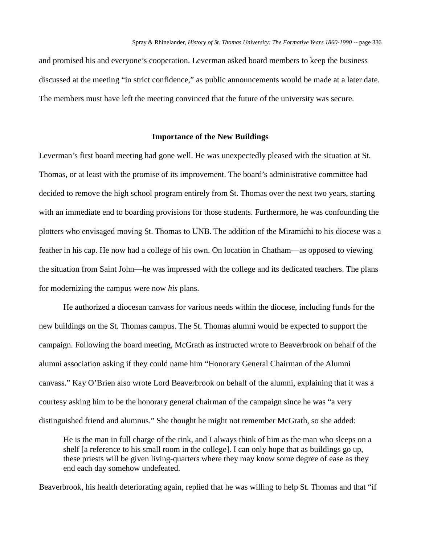and promised his and everyone's cooperation. Leverman asked board members to keep the business discussed at the meeting "in strict confidence," as public announcements would be made at a later date. The members must have left the meeting convinced that the future of the university was secure.

### **Importance of the New Buildings**

Leverman's first board meeting had gone well. He was unexpectedly pleased with the situation at St. Thomas, or at least with the promise of its improvement. The board's administrative committee had decided to remove the high school program entirely from St. Thomas over the next two years, starting with an immediate end to boarding provisions for those students. Furthermore, he was confounding the plotters who envisaged moving St. Thomas to UNB. The addition of the Miramichi to his diocese was a feather in his cap. He now had a college of his own. On location in Chatham—as opposed to viewing the situation from Saint John—he was impressed with the college and its dedicated teachers. The plans for modernizing the campus were now *his* plans.

He authorized a diocesan canvass for various needs within the diocese, including funds for the new buildings on the St. Thomas campus. The St. Thomas alumni would be expected to support the campaign. Following the board meeting, McGrath as instructed wrote to Beaverbrook on behalf of the alumni association asking if they could name him "Honorary General Chairman of the Alumni canvass." Kay O'Brien also wrote Lord Beaverbrook on behalf of the alumni, explaining that it was a courtesy asking him to be the honorary general chairman of the campaign since he was "a very distinguished friend and alumnus." She thought he might not remember McGrath, so she added:

He is the man in full charge of the rink, and I always think of him as the man who sleeps on a shelf [a reference to his small room in the college]. I can only hope that as buildings go up, these priests will be given living-quarters where they may know some degree of ease as they end each day somehow undefeated.

Beaverbrook, his health deteriorating again, replied that he was willing to help St. Thomas and that "if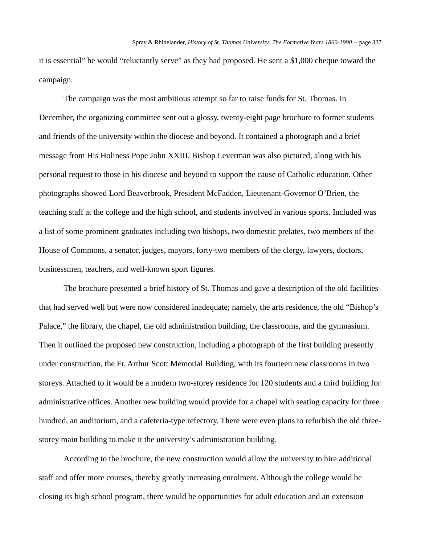it is essential" he would "reluctantly serve" as they had proposed. He sent a \$1,000 cheque toward the campaign.

The campaign was the most ambitious attempt so far to raise funds for St. Thomas. In December, the organizing committee sent out a glossy, twenty-eight page brochure to former students and friends of the university within the diocese and beyond. It contained a photograph and a brief message from His Holiness Pope John XXIII. Bishop Leverman was also pictured, along with his personal request to those in his diocese and beyond to support the cause of Catholic education. Other photographs showed Lord Beaverbrook, President McFadden, Lieutenant-Governor O'Brien, the teaching staff at the college and the high school, and students involved in various sports. Included was a list of some prominent graduates including two bishops, two domestic prelates, two members of the House of Commons, a senator, judges, mayors, forty-two members of the clergy, lawyers, doctors, businessmen, teachers, and well-known sport figures.

The brochure presented a brief history of St. Thomas and gave a description of the old facilities that had served well but were now considered inadequate; namely, the arts residence, the old "Bishop's Palace," the library, the chapel, the old administration building, the classrooms, and the gymnasium. Then it outlined the proposed new construction, including a photograph of the first building presently under construction, the Fr. Arthur Scott Memorial Building, with its fourteen new classrooms in two storeys. Attached to it would be a modern two-storey residence for 120 students and a third building for administrative offices. Another new building would provide for a chapel with seating capacity for three hundred, an auditorium, and a cafeteria-type refectory. There were even plans to refurbish the old threestorey main building to make it the university's administration building.

According to the brochure, the new construction would allow the university to hire additional staff and offer more courses, thereby greatly increasing enrolment. Although the college would be closing its high school program, there would be opportunities for adult education and an extension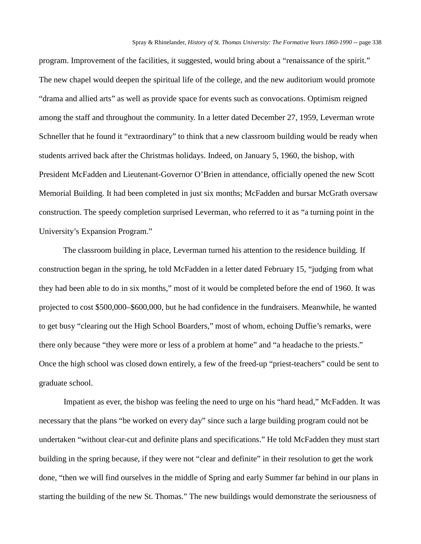program. Improvement of the facilities, it suggested, would bring about a "renaissance of the spirit." The new chapel would deepen the spiritual life of the college, and the new auditorium would promote "drama and allied arts" as well as provide space for events such as convocations. Optimism reigned among the staff and throughout the community. In a letter dated December 27, 1959, Leverman wrote Schneller that he found it "extraordinary" to think that a new classroom building would be ready when students arrived back after the Christmas holidays. Indeed, on January 5, 1960, the bishop, with President McFadden and Lieutenant-Governor O'Brien in attendance, officially opened the new Scott Memorial Building. It had been completed in just six months; McFadden and bursar McGrath oversaw construction. The speedy completion surprised Leverman, who referred to it as "a turning point in the University's Expansion Program."

The classroom building in place, Leverman turned his attention to the residence building. If construction began in the spring, he told McFadden in a letter dated February 15, "judging from what they had been able to do in six months," most of it would be completed before the end of 1960. It was projected to cost \$500,000–\$600,000, but he had confidence in the fundraisers. Meanwhile, he wanted to get busy "clearing out the High School Boarders," most of whom, echoing Duffie's remarks, were there only because "they were more or less of a problem at home" and "a headache to the priests." Once the high school was closed down entirely, a few of the freed-up "priest-teachers" could be sent to graduate school.

Impatient as ever, the bishop was feeling the need to urge on his "hard head," McFadden. It was necessary that the plans "be worked on every day" since such a large building program could not be undertaken "without clear-cut and definite plans and specifications." He told McFadden they must start building in the spring because, if they were not "clear and definite" in their resolution to get the work done, "then we will find ourselves in the middle of Spring and early Summer far behind in our plans in starting the building of the new St. Thomas." The new buildings would demonstrate the seriousness of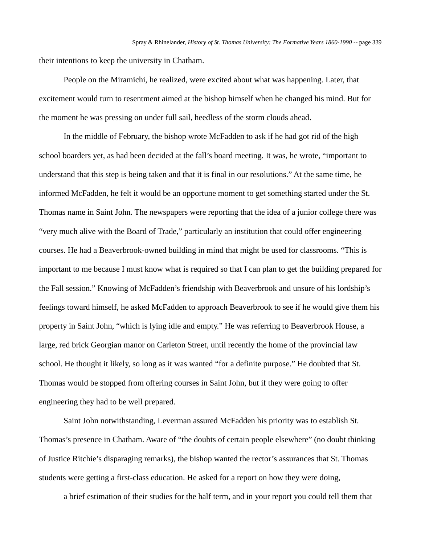their intentions to keep the university in Chatham.

People on the Miramichi, he realized, were excited about what was happening. Later, that excitement would turn to resentment aimed at the bishop himself when he changed his mind. But for the moment he was pressing on under full sail, heedless of the storm clouds ahead.

In the middle of February, the bishop wrote McFadden to ask if he had got rid of the high school boarders yet, as had been decided at the fall's board meeting. It was, he wrote, "important to understand that this step is being taken and that it is final in our resolutions." At the same time, he informed McFadden, he felt it would be an opportune moment to get something started under the St. Thomas name in Saint John. The newspapers were reporting that the idea of a junior college there was "very much alive with the Board of Trade," particularly an institution that could offer engineering courses. He had a Beaverbrook-owned building in mind that might be used for classrooms. "This is important to me because I must know what is required so that I can plan to get the building prepared for the Fall session." Knowing of McFadden's friendship with Beaverbrook and unsure of his lordship's feelings toward himself, he asked McFadden to approach Beaverbrook to see if he would give them his property in Saint John, "which is lying idle and empty." He was referring to Beaverbrook House, a large, red brick Georgian manor on Carleton Street, until recently the home of the provincial law school. He thought it likely, so long as it was wanted "for a definite purpose." He doubted that St. Thomas would be stopped from offering courses in Saint John, but if they were going to offer engineering they had to be well prepared.

Saint John notwithstanding, Leverman assured McFadden his priority was to establish St. Thomas's presence in Chatham. Aware of "the doubts of certain people elsewhere" (no doubt thinking of Justice Ritchie's disparaging remarks), the bishop wanted the rector's assurances that St. Thomas students were getting a first-class education. He asked for a report on how they were doing,

a brief estimation of their studies for the half term, and in your report you could tell them that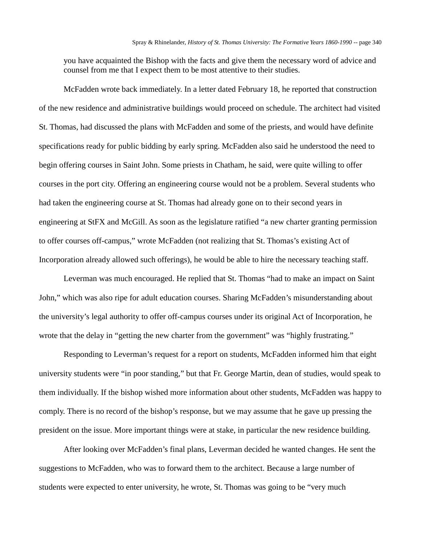you have acquainted the Bishop with the facts and give them the necessary word of advice and counsel from me that I expect them to be most attentive to their studies.

McFadden wrote back immediately. In a letter dated February 18, he reported that construction of the new residence and administrative buildings would proceed on schedule. The architect had visited St. Thomas, had discussed the plans with McFadden and some of the priests, and would have definite specifications ready for public bidding by early spring. McFadden also said he understood the need to begin offering courses in Saint John. Some priests in Chatham, he said, were quite willing to offer courses in the port city. Offering an engineering course would not be a problem. Several students who had taken the engineering course at St. Thomas had already gone on to their second years in engineering at StFX and McGill. As soon as the legislature ratified "a new charter granting permission to offer courses off-campus," wrote McFadden (not realizing that St. Thomas's existing Act of Incorporation already allowed such offerings), he would be able to hire the necessary teaching staff.

Leverman was much encouraged. He replied that St. Thomas "had to make an impact on Saint John," which was also ripe for adult education courses. Sharing McFadden's misunderstanding about the university's legal authority to offer off-campus courses under its original Act of Incorporation, he wrote that the delay in "getting the new charter from the government" was "highly frustrating."

Responding to Leverman's request for a report on students, McFadden informed him that eight university students were "in poor standing," but that Fr. George Martin, dean of studies, would speak to them individually. If the bishop wished more information about other students, McFadden was happy to comply. There is no record of the bishop's response, but we may assume that he gave up pressing the president on the issue. More important things were at stake, in particular the new residence building.

After looking over McFadden's final plans, Leverman decided he wanted changes. He sent the suggestions to McFadden, who was to forward them to the architect. Because a large number of students were expected to enter university, he wrote, St. Thomas was going to be "very much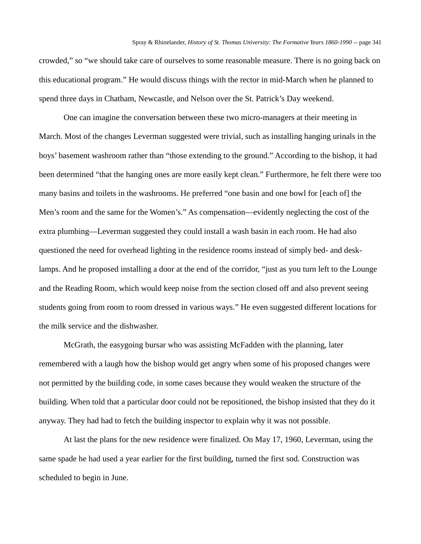crowded," so "we should take care of ourselves to some reasonable measure. There is no going back on this educational program." He would discuss things with the rector in mid-March when he planned to spend three days in Chatham, Newcastle, and Nelson over the St. Patrick's Day weekend.

One can imagine the conversation between these two micro-managers at their meeting in March. Most of the changes Leverman suggested were trivial, such as installing hanging urinals in the boys' basement washroom rather than "those extending to the ground." According to the bishop, it had been determined "that the hanging ones are more easily kept clean." Furthermore, he felt there were too many basins and toilets in the washrooms. He preferred "one basin and one bowl for [each of] the Men's room and the same for the Women's." As compensation—evidently neglecting the cost of the extra plumbing—Leverman suggested they could install a wash basin in each room. He had also questioned the need for overhead lighting in the residence rooms instead of simply bed- and desklamps. And he proposed installing a door at the end of the corridor, "just as you turn left to the Lounge and the Reading Room, which would keep noise from the section closed off and also prevent seeing students going from room to room dressed in various ways." He even suggested different locations for the milk service and the dishwasher.

McGrath, the easygoing bursar who was assisting McFadden with the planning, later remembered with a laugh how the bishop would get angry when some of his proposed changes were not permitted by the building code, in some cases because they would weaken the structure of the building. When told that a particular door could not be repositioned, the bishop insisted that they do it anyway. They had had to fetch the building inspector to explain why it was not possible.

At last the plans for the new residence were finalized. On May 17, 1960, Leverman, using the same spade he had used a year earlier for the first building, turned the first sod. Construction was scheduled to begin in June.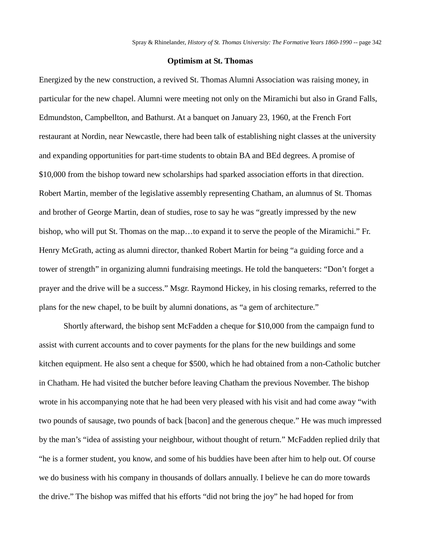#### **Optimism at St. Thomas**

Energized by the new construction, a revived St. Thomas Alumni Association was raising money, in particular for the new chapel. Alumni were meeting not only on the Miramichi but also in Grand Falls, Edmundston, Campbellton, and Bathurst. At a banquet on January 23, 1960, at the French Fort restaurant at Nordin, near Newcastle, there had been talk of establishing night classes at the university and expanding opportunities for part-time students to obtain BA and BEd degrees. A promise of \$10,000 from the bishop toward new scholarships had sparked association efforts in that direction. Robert Martin, member of the legislative assembly representing Chatham, an alumnus of St. Thomas and brother of George Martin, dean of studies, rose to say he was "greatly impressed by the new bishop, who will put St. Thomas on the map…to expand it to serve the people of the Miramichi." Fr. Henry McGrath, acting as alumni director, thanked Robert Martin for being "a guiding force and a tower of strength" in organizing alumni fundraising meetings. He told the banqueters: "Don't forget a prayer and the drive will be a success." Msgr. Raymond Hickey, in his closing remarks, referred to the plans for the new chapel, to be built by alumni donations, as "a gem of architecture."

Shortly afterward, the bishop sent McFadden a cheque for \$10,000 from the campaign fund to assist with current accounts and to cover payments for the plans for the new buildings and some kitchen equipment. He also sent a cheque for \$500, which he had obtained from a non-Catholic butcher in Chatham. He had visited the butcher before leaving Chatham the previous November. The bishop wrote in his accompanying note that he had been very pleased with his visit and had come away "with two pounds of sausage, two pounds of back [bacon] and the generous cheque." He was much impressed by the man's "idea of assisting your neighbour, without thought of return." McFadden replied drily that "he is a former student, you know, and some of his buddies have been after him to help out. Of course we do business with his company in thousands of dollars annually. I believe he can do more towards the drive." The bishop was miffed that his efforts "did not bring the joy" he had hoped for from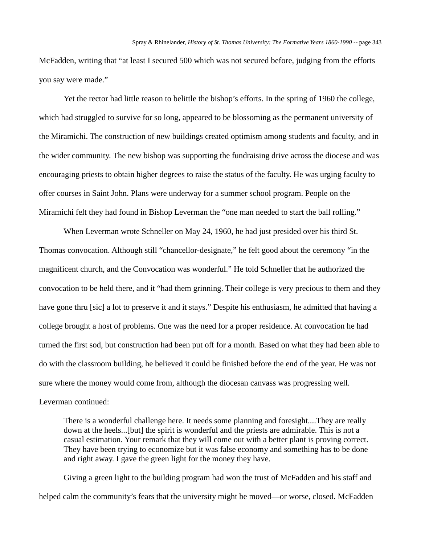McFadden, writing that "at least I secured 500 which was not secured before, judging from the efforts you say were made."

Yet the rector had little reason to belittle the bishop's efforts. In the spring of 1960 the college, which had struggled to survive for so long, appeared to be blossoming as the permanent university of the Miramichi. The construction of new buildings created optimism among students and faculty, and in the wider community. The new bishop was supporting the fundraising drive across the diocese and was encouraging priests to obtain higher degrees to raise the status of the faculty. He was urging faculty to offer courses in Saint John. Plans were underway for a summer school program. People on the Miramichi felt they had found in Bishop Leverman the "one man needed to start the ball rolling."

When Leverman wrote Schneller on May 24, 1960, he had just presided over his third St. Thomas convocation. Although still "chancellor-designate," he felt good about the ceremony "in the magnificent church, and the Convocation was wonderful." He told Schneller that he authorized the convocation to be held there, and it "had them grinning. Their college is very precious to them and they have gone thru [sic] a lot to preserve it and it stays." Despite his enthusiasm, he admitted that having a college brought a host of problems. One was the need for a proper residence. At convocation he had turned the first sod, but construction had been put off for a month. Based on what they had been able to do with the classroom building, he believed it could be finished before the end of the year. He was not sure where the money would come from, although the diocesan canvass was progressing well.

## Leverman continued:

There is a wonderful challenge here. It needs some planning and foresight....They are really down at the heels...[but] the spirit is wonderful and the priests are admirable. This is not a casual estimation. Your remark that they will come out with a better plant is proving correct. They have been trying to economize but it was false economy and something has to be done and right away. I gave the green light for the money they have.

Giving a green light to the building program had won the trust of McFadden and his staff and helped calm the community's fears that the university might be moved—or worse, closed. McFadden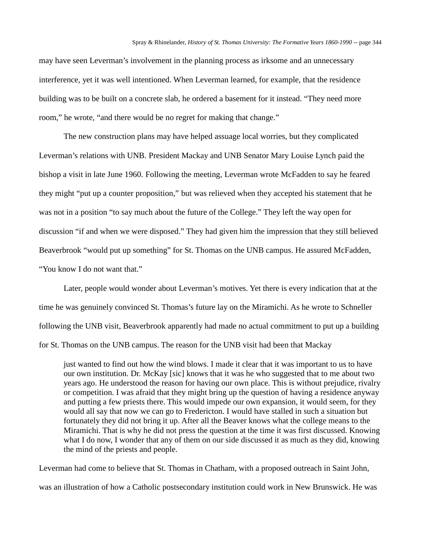may have seen Leverman's involvement in the planning process as irksome and an unnecessary interference, yet it was well intentioned. When Leverman learned, for example, that the residence building was to be built on a concrete slab, he ordered a basement for it instead. "They need more room," he wrote, "and there would be no regret for making that change."

The new construction plans may have helped assuage local worries, but they complicated Leverman's relations with UNB. President Mackay and UNB Senator Mary Louise Lynch paid the bishop a visit in late June 1960. Following the meeting, Leverman wrote McFadden to say he feared they might "put up a counter proposition," but was relieved when they accepted his statement that he was not in a position "to say much about the future of the College." They left the way open for discussion "if and when we were disposed." They had given him the impression that they still believed Beaverbrook "would put up something" for St. Thomas on the UNB campus. He assured McFadden, "You know I do not want that."

Later, people would wonder about Leverman's motives. Yet there is every indication that at the time he was genuinely convinced St. Thomas's future lay on the Miramichi. As he wrote to Schneller following the UNB visit, Beaverbrook apparently had made no actual commitment to put up a building for St. Thomas on the UNB campus. The reason for the UNB visit had been that Mackay

just wanted to find out how the wind blows. I made it clear that it was important to us to have our own institution. Dr. McKay [sic] knows that it was he who suggested that to me about two years ago. He understood the reason for having our own place. This is without prejudice, rivalry or competition. I was afraid that they might bring up the question of having a residence anyway and putting a few priests there. This would impede our own expansion, it would seem, for they would all say that now we can go to Fredericton. I would have stalled in such a situation but fortunately they did not bring it up. After all the Beaver knows what the college means to the Miramichi. That is why he did not press the question at the time it was first discussed. Knowing what I do now, I wonder that any of them on our side discussed it as much as they did, knowing the mind of the priests and people.

Leverman had come to believe that St. Thomas in Chatham, with a proposed outreach in Saint John, was an illustration of how a Catholic postsecondary institution could work in New Brunswick. He was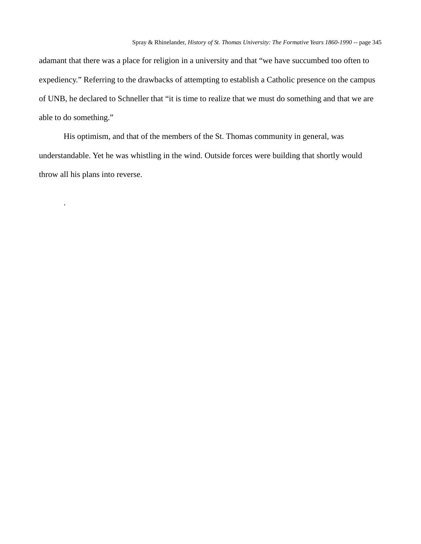adamant that there was a place for religion in a university and that "we have succumbed too often to expediency." Referring to the drawbacks of attempting to establish a Catholic presence on the campus of UNB, he declared to Schneller that "it is time to realize that we must do something and that we are able to do something."

His optimism, and that of the members of the St. Thomas community in general, was understandable. Yet he was whistling in the wind. Outside forces were building that shortly would throw all his plans into reverse.

.